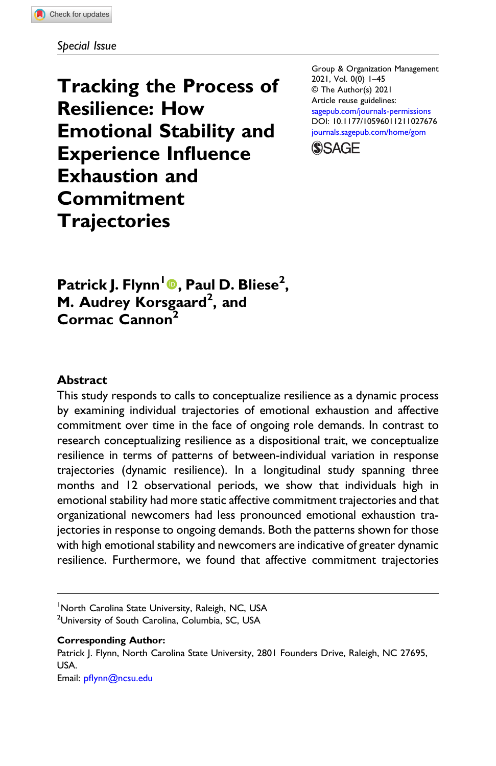Special Issue

Tracking the Process of Resilience: How Emotional Stability and Experience Influence Exhaustion and Commitment **Trajectories** 

Group & Organization Management 2021, Vol. 0(0) 1–45 © The Author(s) 2021 Article reuse guidelines: [sagepub.com/journals-permissions](https://us.sagepub.com/en-us/journals-permissions) DOI: [10.1177/10596011211027676](https://doi.org/10.1177/10596011211027676) [journals.sagepub.com/home/gom](https://journals.sagepub.com/home/gom)



Patrick J. Flynn<sup>l</sup>®, Paul D. Bliese<sup>2</sup>, M. Audrey Korsgaard<sup>2</sup>, and Cormac Cannon<sup>2</sup>

## Abstract

This study responds to calls to conceptualize resilience as a dynamic process by examining individual trajectories of emotional exhaustion and affective commitment over time in the face of ongoing role demands. In contrast to research conceptualizing resilience as a dispositional trait, we conceptualize resilience in terms of patterns of between-individual variation in response trajectories (dynamic resilience). In a longitudinal study spanning three months and 12 observational periods, we show that individuals high in emotional stability had more static affective commitment trajectories and that organizational newcomers had less pronounced emotional exhaustion trajectories in response to ongoing demands. Both the patterns shown for those with high emotional stability and newcomers are indicative of greater dynamic resilience. Furthermore, we found that affective commitment trajectories

<sup>1</sup>North Carolina State University, Raleigh, NC, USA

<sup>2</sup>University of South Carolina, Columbia, SC, USA

Corresponding Author:

Patrick J. Flynn, North Carolina State University, 2801 Founders Drive, Raleigh, NC 27695, USA.

Email: pfl[ynn@ncsu.edu](mailto:pflynn@ncsu.edu)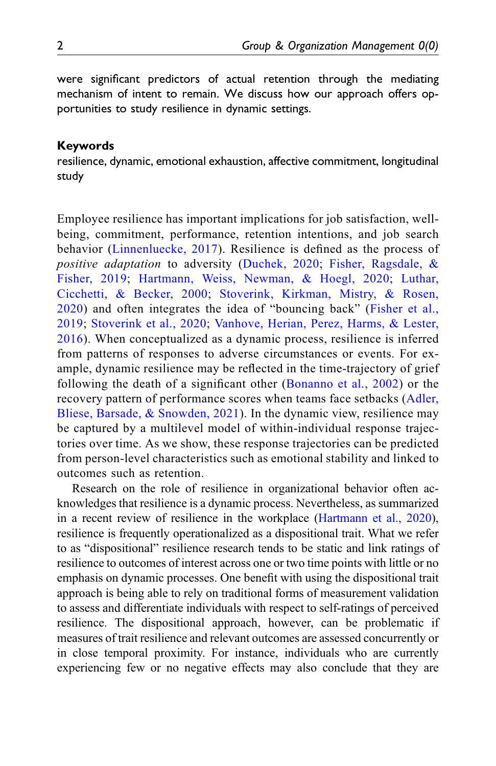were significant predictors of actual retention through the mediating mechanism of intent to remain. We discuss how our approach offers opportunities to study resilience in dynamic settings.

#### Keywords

resilience, dynamic, emotional exhaustion, affective commitment, longitudinal study

Employee resilience has important implications for job satisfaction, wellbeing, commitment, performance, retention intentions, and job search behavior ([Linnenluecke, 2017](#page-41-0)). Resilience is defined as the process of positive adaptation to adversity ([Duchek, 2020](#page-39-0); [Fisher, Ragsdale, &](#page-40-0) [Fisher, 2019](#page-40-0); [Hartmann, Weiss, Newman, & Hoegl, 2020](#page-40-1); [Luthar,](#page-41-1) [Cicchetti, & Becker, 2000](#page-41-1); [Stoverink, Kirkman, Mistry, & Rosen,](#page-43-0) [2020\)](#page-43-0) and often integrates the idea of "bouncing back" ([Fisher et al.,](#page-40-0) [2019;](#page-40-0) [Stoverink et al., 2020;](#page-43-0) [Vanhove, Herian, Perez, Harms, & Lester,](#page-43-1) [2016\)](#page-43-1). When conceptualized as a dynamic process, resilience is inferred from patterns of responses to adverse circumstances or events. For example, dynamic resilience may be reflected in the time-trajectory of grief following the death of a significant other ([Bonanno et al., 2002\)](#page-38-0) or the recovery pattern of performance scores when teams face setbacks ([Adler,](#page-37-0) [Bliese, Barsade, & Snowden, 2021](#page-37-0)). In the dynamic view, resilience may be captured by a multilevel model of within-individual response trajectories over time. As we show, these response trajectories can be predicted from person-level characteristics such as emotional stability and linked to outcomes such as retention.

Research on the role of resilience in organizational behavior often acknowledges that resilience is a dynamic process. Nevertheless, as summarized in a recent review of resilience in the workplace [\(Hartmann et al., 2020\)](#page-40-1), resilience is frequently operationalized as a dispositional trait. What we refer to as "dispositional" resilience research tends to be static and link ratings of resilience to outcomes of interest across one or two time points with little or no emphasis on dynamic processes. One benefit with using the dispositional trait approach is being able to rely on traditional forms of measurement validation to assess and differentiate individuals with respect to self-ratings of perceived resilience. The dispositional approach, however, can be problematic if measures of trait resilience and relevant outcomes are assessed concurrently or in close temporal proximity. For instance, individuals who are currently experiencing few or no negative effects may also conclude that they are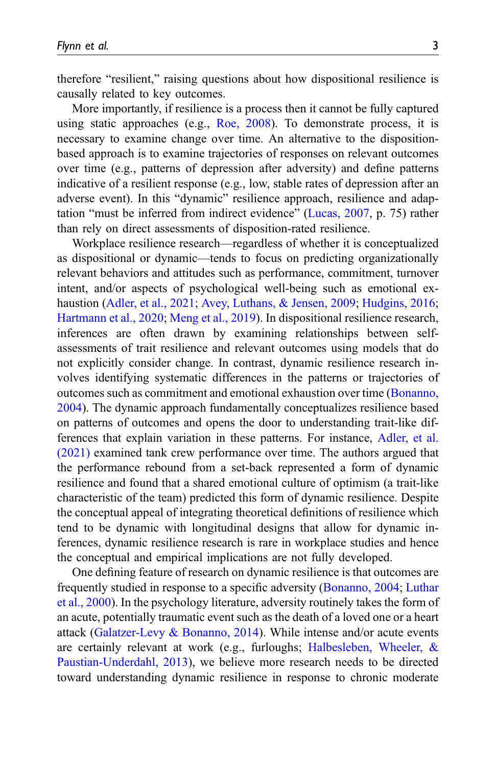therefore "resilient," raising questions about how dispositional resilience is causally related to key outcomes.

More importantly, if resilience is a process then it cannot be fully captured using static approaches (e.g., [Roe, 2008](#page-42-0)). To demonstrate process, it is necessary to examine change over time. An alternative to the dispositionbased approach is to examine trajectories of responses on relevant outcomes over time (e.g., patterns of depression after adversity) and define patterns indicative of a resilient response (e.g., low, stable rates of depression after an adverse event). In this "dynamic" resilience approach, resilience and adaptation "must be inferred from indirect evidence" ([Lucas, 2007](#page-41-2), p. 75) rather than rely on direct assessments of disposition-rated resilience.

Workplace resilience research—regardless of whether it is conceptualized as dispositional or dynamic—tends to focus on predicting organizationally relevant behaviors and attitudes such as performance, commitment, turnover intent, and/or aspects of psychological well-being such as emotional ex-haustion ([Adler, et al., 2021;](#page-37-0) [Avey, Luthans, & Jensen, 2009](#page-37-1); [Hudgins, 2016;](#page-40-2) [Hartmann et al., 2020;](#page-40-1) [Meng et al., 2019](#page-42-1)). In dispositional resilience research, inferences are often drawn by examining relationships between selfassessments of trait resilience and relevant outcomes using models that do not explicitly consider change. In contrast, dynamic resilience research involves identifying systematic differences in the patterns or trajectories of outcomes such as commitment and emotional exhaustion over time ([Bonanno,](#page-38-1) [2004\)](#page-38-1). The dynamic approach fundamentally conceptualizes resilience based on patterns of outcomes and opens the door to understanding trait-like differences that explain variation in these patterns. For instance, [Adler, et al.](#page-37-0) [\(2021\)](#page-37-0) examined tank crew performance over time. The authors argued that the performance rebound from a set-back represented a form of dynamic resilience and found that a shared emotional culture of optimism (a trait-like characteristic of the team) predicted this form of dynamic resilience. Despite the conceptual appeal of integrating theoretical definitions of resilience which tend to be dynamic with longitudinal designs that allow for dynamic inferences, dynamic resilience research is rare in workplace studies and hence the conceptual and empirical implications are not fully developed.

One defining feature of research on dynamic resilience is that outcomes are frequently studied in response to a specific adversity [\(Bonanno, 2004](#page-38-1); [Luthar](#page-41-1) [et al., 2000\)](#page-41-1). In the psychology literature, adversity routinely takes the form of an acute, potentially traumatic event such as the death of a loved one or a heart attack [\(Galatzer-Levy & Bonanno, 2014\)](#page-40-3). While intense and/or acute events are certainly relevant at work (e.g., furloughs; [Halbesleben, Wheeler, &](#page-40-4) [Paustian-Underdahl, 2013](#page-40-4)), we believe more research needs to be directed toward understanding dynamic resilience in response to chronic moderate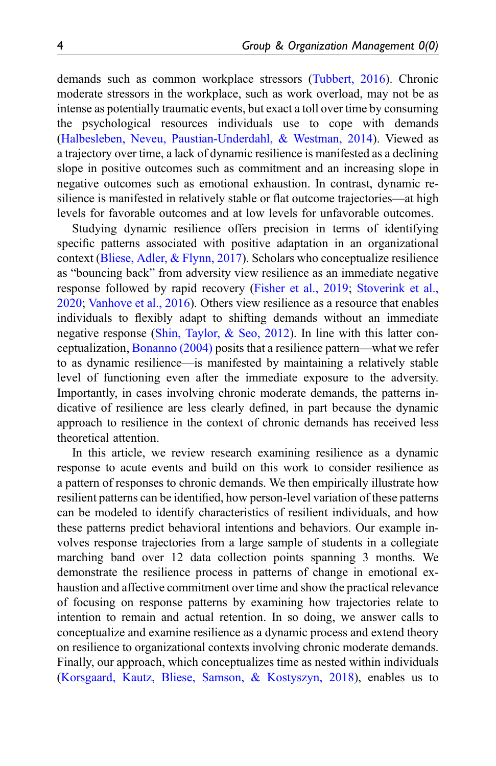demands such as common workplace stressors ([Tubbert, 2016\)](#page-43-2). Chronic moderate stressors in the workplace, such as work overload, may not be as intense as potentially traumatic events, but exact a toll over time by consuming the psychological resources individuals use to cope with demands ([Halbesleben, Neveu, Paustian-Underdahl, & Westman, 2014\)](#page-40-5). Viewed as a trajectory over time, a lack of dynamic resilience is manifested as a declining slope in positive outcomes such as commitment and an increasing slope in negative outcomes such as emotional exhaustion. In contrast, dynamic resilience is manifested in relatively stable or flat outcome trajectories—at high levels for favorable outcomes and at low levels for unfavorable outcomes.

Studying dynamic resilience offers precision in terms of identifying specific patterns associated with positive adaptation in an organizational context ([Bliese, Adler, & Flynn, 2017](#page-38-2)). Scholars who conceptualize resilience as "bouncing back" from adversity view resilience as an immediate negative response followed by rapid recovery ([Fisher et al., 2019](#page-40-0); [Stoverink et al.,](#page-43-0) [2020;](#page-43-0) [Vanhove et al., 2016\)](#page-43-1). Others view resilience as a resource that enables individuals to flexibly adapt to shifting demands without an immediate negative response ([Shin, Taylor, & Seo, 2012](#page-43-3)). In line with this latter conceptualization, [Bonanno \(2004\)](#page-38-1) posits that a resilience pattern—what we refer to as dynamic resilience—is manifested by maintaining a relatively stable level of functioning even after the immediate exposure to the adversity. Importantly, in cases involving chronic moderate demands, the patterns indicative of resilience are less clearly defined, in part because the dynamic approach to resilience in the context of chronic demands has received less theoretical attention.

In this article, we review research examining resilience as a dynamic response to acute events and build on this work to consider resilience as a pattern of responses to chronic demands. We then empirically illustrate how resilient patterns can be identified, how person-level variation of these patterns can be modeled to identify characteristics of resilient individuals, and how these patterns predict behavioral intentions and behaviors. Our example involves response trajectories from a large sample of students in a collegiate marching band over 12 data collection points spanning 3 months. We demonstrate the resilience process in patterns of change in emotional exhaustion and affective commitment over time and show the practical relevance of focusing on response patterns by examining how trajectories relate to intention to remain and actual retention. In so doing, we answer calls to conceptualize and examine resilience as a dynamic process and extend theory on resilience to organizational contexts involving chronic moderate demands. Finally, our approach, which conceptualizes time as nested within individuals ([Korsgaard, Kautz, Bliese, Samson, & Kostyszyn, 2018\)](#page-41-3), enables us to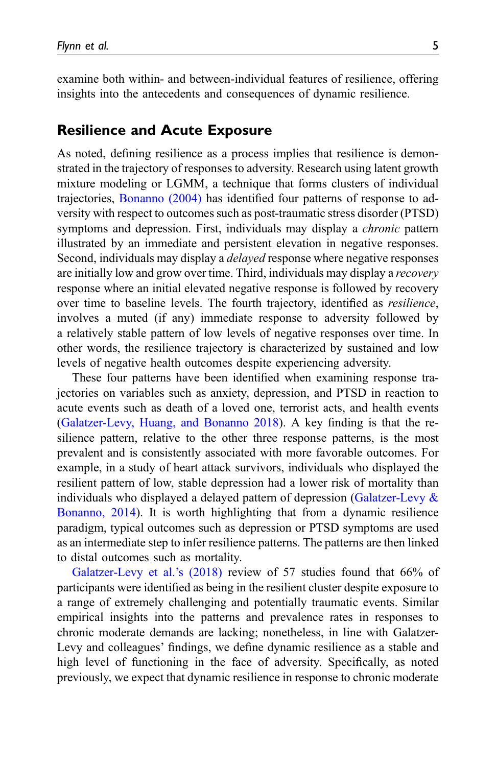examine both within- and between-individual features of resilience, offering insights into the antecedents and consequences of dynamic resilience.

### Resilience and Acute Exposure

As noted, defining resilience as a process implies that resilience is demonstrated in the trajectory of responses to adversity. Research using latent growth mixture modeling or LGMM, a technique that forms clusters of individual trajectories, [Bonanno \(2004\)](#page-38-1) has identified four patterns of response to adversity with respect to outcomes such as post-traumatic stress disorder (PTSD) symptoms and depression. First, individuals may display a *chronic* pattern illustrated by an immediate and persistent elevation in negative responses. Second, individuals may display a delayed response where negative responses are initially low and grow over time. Third, individuals may display a recovery response where an initial elevated negative response is followed by recovery over time to baseline levels. The fourth trajectory, identified as resilience, involves a muted (if any) immediate response to adversity followed by a relatively stable pattern of low levels of negative responses over time. In other words, the resilience trajectory is characterized by sustained and low levels of negative health outcomes despite experiencing adversity.

These four patterns have been identified when examining response trajectories on variables such as anxiety, depression, and PTSD in reaction to acute events such as death of a loved one, terrorist acts, and health events ([Galatzer-Levy, Huang, and Bonanno 2018\)](#page-40-6). A key finding is that the resilience pattern, relative to the other three response patterns, is the most prevalent and is consistently associated with more favorable outcomes. For example, in a study of heart attack survivors, individuals who displayed the resilient pattern of low, stable depression had a lower risk of mortality than individuals who displayed a delayed pattern of depression [\(Galatzer-Levy &](#page-40-3) [Bonanno, 2014\)](#page-40-3). It is worth highlighting that from a dynamic resilience paradigm, typical outcomes such as depression or PTSD symptoms are used as an intermediate step to infer resilience patterns. The patterns are then linked to distal outcomes such as mortality.

[Galatzer-Levy et al.](#page-40-6)'s (2018) review of 57 studies found that 66% of participants were identified as being in the resilient cluster despite exposure to a range of extremely challenging and potentially traumatic events. Similar empirical insights into the patterns and prevalence rates in responses to chronic moderate demands are lacking; nonetheless, in line with Galatzer-Levy and colleagues' findings, we define dynamic resilience as a stable and high level of functioning in the face of adversity. Specifically, as noted previously, we expect that dynamic resilience in response to chronic moderate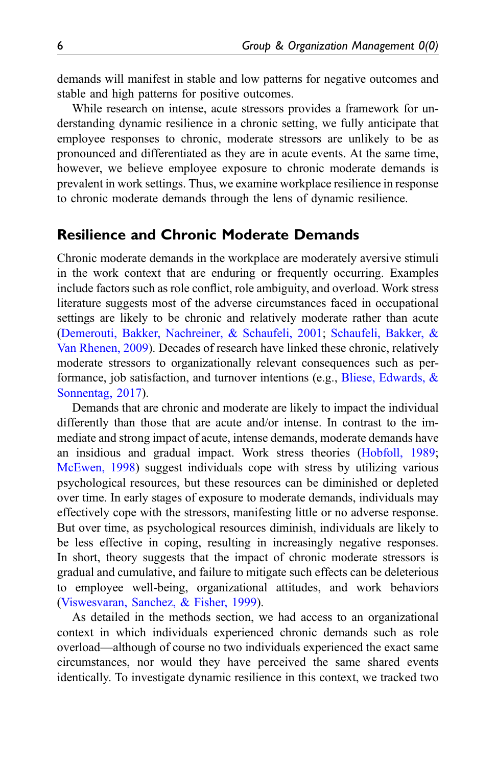demands will manifest in stable and low patterns for negative outcomes and stable and high patterns for positive outcomes.

While research on intense, acute stressors provides a framework for understanding dynamic resilience in a chronic setting, we fully anticipate that employee responses to chronic, moderate stressors are unlikely to be as pronounced and differentiated as they are in acute events. At the same time, however, we believe employee exposure to chronic moderate demands is prevalent in work settings. Thus, we examine workplace resilience in response to chronic moderate demands through the lens of dynamic resilience.

# Resilience and Chronic Moderate Demands

Chronic moderate demands in the workplace are moderately aversive stimuli in the work context that are enduring or frequently occurring. Examples include factors such as role conflict, role ambiguity, and overload. Work stress literature suggests most of the adverse circumstances faced in occupational settings are likely to be chronic and relatively moderate rather than acute ([Demerouti, Bakker, Nachreiner, & Schaufeli, 2001;](#page-39-1) [Schaufeli, Bakker, &](#page-42-2) [Van Rhenen, 2009\)](#page-42-2). Decades of research have linked these chronic, relatively moderate stressors to organizationally relevant consequences such as per-formance, job satisfaction, and turnover intentions (e.g., [Bliese, Edwards, &](#page-38-3) [Sonnentag, 2017](#page-38-3)).

Demands that are chronic and moderate are likely to impact the individual differently than those that are acute and/or intense. In contrast to the immediate and strong impact of acute, intense demands, moderate demands have an insidious and gradual impact. Work stress theories ([Hobfoll, 1989;](#page-40-7) [McEwen, 1998](#page-41-4)) suggest individuals cope with stress by utilizing various psychological resources, but these resources can be diminished or depleted over time. In early stages of exposure to moderate demands, individuals may effectively cope with the stressors, manifesting little or no adverse response. But over time, as psychological resources diminish, individuals are likely to be less effective in coping, resulting in increasingly negative responses. In short, theory suggests that the impact of chronic moderate stressors is gradual and cumulative, and failure to mitigate such effects can be deleterious to employee well-being, organizational attitudes, and work behaviors ([Viswesvaran, Sanchez, & Fisher, 1999](#page-43-4)).

As detailed in the methods section, we had access to an organizational context in which individuals experienced chronic demands such as role overload—although of course no two individuals experienced the exact same circumstances, nor would they have perceived the same shared events identically. To investigate dynamic resilience in this context, we tracked two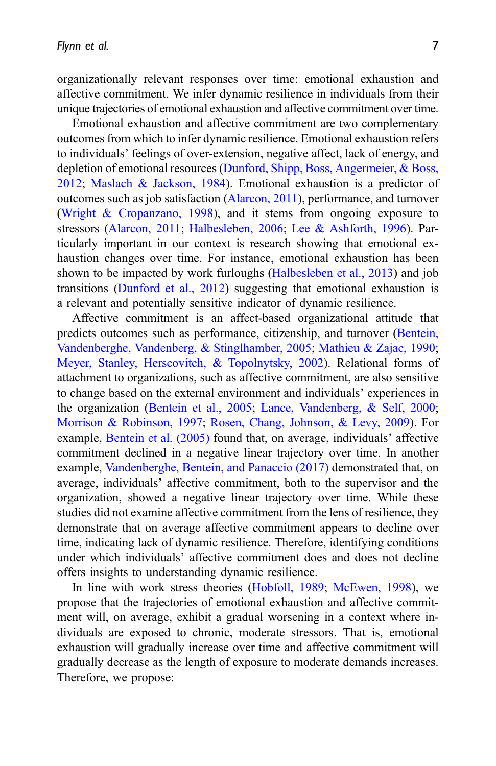organizationally relevant responses over time: emotional exhaustion and affective commitment. We infer dynamic resilience in individuals from their unique trajectories of emotional exhaustion and affective commitment over time.

Emotional exhaustion and affective commitment are two complementary outcomes from which to infer dynamic resilience. Emotional exhaustion refers to individuals' feelings of over-extension, negative affect, lack of energy, and depletion of emotional resources [\(Dunford, Shipp, Boss, Angermeier, & Boss,](#page-39-2) [2012;](#page-39-2) [Maslach & Jackson, 1984](#page-41-5)). Emotional exhaustion is a predictor of outcomes such as job satisfaction ([Alarcon, 2011\)](#page-37-2), performance, and turnover ([Wright & Cropanzano, 1998](#page-44-0)), and it stems from ongoing exposure to stressors ([Alarcon, 2011](#page-37-2); [Halbesleben, 2006](#page-40-8); [Lee & Ashforth, 1996\)](#page-41-6). Particularly important in our context is research showing that emotional exhaustion changes over time. For instance, emotional exhaustion has been shown to be impacted by work furloughs [\(Halbesleben et al., 2013](#page-40-4)) and job transitions [\(Dunford et al., 2012\)](#page-39-2) suggesting that emotional exhaustion is a relevant and potentially sensitive indicator of dynamic resilience.

Affective commitment is an affect-based organizational attitude that predicts outcomes such as performance, citizenship, and turnover [\(Bentein,](#page-38-4) [Vandenberghe, Vandenberg, & Stinglhamber, 2005;](#page-38-4) [Mathieu & Zajac, 1990;](#page-41-7) [Meyer, Stanley, Herscovitch, & Topolnytsky, 2002\)](#page-42-3). Relational forms of attachment to organizations, such as affective commitment, are also sensitive to change based on the external environment and individuals' experiences in the organization ([Bentein et al., 2005](#page-38-4); [Lance, Vandenberg, & Self, 2000;](#page-41-8) [Morrison & Robinson, 1997;](#page-42-4) [Rosen, Chang, Johnson, & Levy, 2009](#page-42-5)). For example, [Bentein et al. \(2005\)](#page-38-4) found that, on average, individuals' affective commitment declined in a negative linear trajectory over time. In another example, [Vandenberghe, Bentein, and Panaccio \(2017\)](#page-43-5) demonstrated that, on average, individuals' affective commitment, both to the supervisor and the organization, showed a negative linear trajectory over time. While these studies did not examine affective commitment from the lens of resilience, they demonstrate that on average affective commitment appears to decline over time, indicating lack of dynamic resilience. Therefore, identifying conditions under which individuals' affective commitment does and does not decline offers insights to understanding dynamic resilience.

In line with work stress theories [\(Hobfoll, 1989;](#page-40-7) [McEwen, 1998\)](#page-41-4), we propose that the trajectories of emotional exhaustion and affective commitment will, on average, exhibit a gradual worsening in a context where individuals are exposed to chronic, moderate stressors. That is, emotional exhaustion will gradually increase over time and affective commitment will gradually decrease as the length of exposure to moderate demands increases. Therefore, we propose: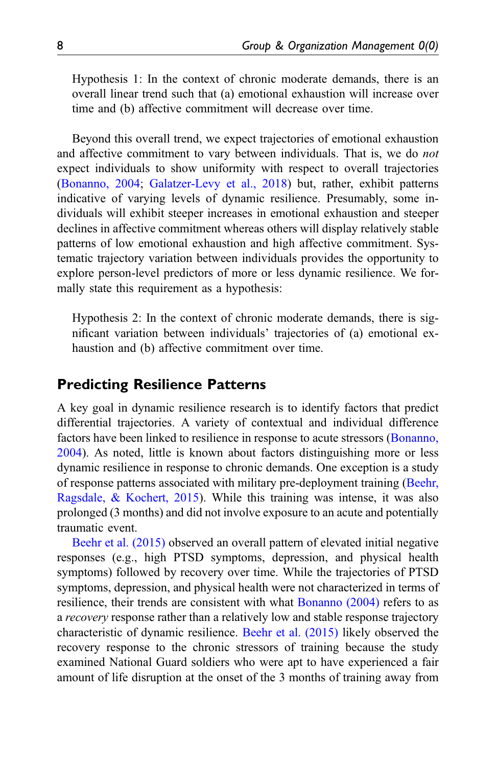Hypothesis 1: In the context of chronic moderate demands, there is an overall linear trend such that (a) emotional exhaustion will increase over time and (b) affective commitment will decrease over time.

Beyond this overall trend, we expect trajectories of emotional exhaustion and affective commitment to vary between individuals. That is, we do not expect individuals to show uniformity with respect to overall trajectories ([Bonanno, 2004;](#page-38-1) [Galatzer-Levy et al., 2018](#page-40-6)) but, rather, exhibit patterns indicative of varying levels of dynamic resilience. Presumably, some individuals will exhibit steeper increases in emotional exhaustion and steeper declines in affective commitment whereas others will display relatively stable patterns of low emotional exhaustion and high affective commitment. Systematic trajectory variation between individuals provides the opportunity to explore person-level predictors of more or less dynamic resilience. We formally state this requirement as a hypothesis:

Hypothesis 2: In the context of chronic moderate demands, there is significant variation between individuals' trajectories of (a) emotional exhaustion and (b) affective commitment over time.

## Predicting Resilience Patterns

A key goal in dynamic resilience research is to identify factors that predict differential trajectories. A variety of contextual and individual difference factors have been linked to resilience in response to acute stressors ([Bonanno,](#page-38-1) [2004\)](#page-38-1). As noted, little is known about factors distinguishing more or less dynamic resilience in response to chronic demands. One exception is a study of response patterns associated with military pre-deployment training ([Beehr,](#page-38-5) [Ragsdale, & Kochert, 2015](#page-38-5)). While this training was intense, it was also prolonged (3 months) and did not involve exposure to an acute and potentially traumatic event.

[Beehr et al. \(2015\)](#page-38-5) observed an overall pattern of elevated initial negative responses (e.g., high PTSD symptoms, depression, and physical health symptoms) followed by recovery over time. While the trajectories of PTSD symptoms, depression, and physical health were not characterized in terms of resilience, their trends are consistent with what [Bonanno \(2004\)](#page-38-1) refers to as a recovery response rather than a relatively low and stable response trajectory characteristic of dynamic resilience. [Beehr et al. \(2015\)](#page-38-5) likely observed the recovery response to the chronic stressors of training because the study examined National Guard soldiers who were apt to have experienced a fair amount of life disruption at the onset of the 3 months of training away from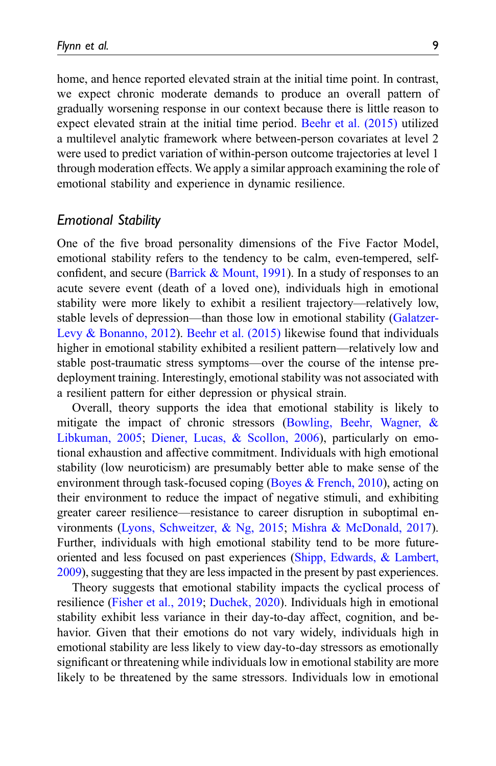home, and hence reported elevated strain at the initial time point. In contrast, we expect chronic moderate demands to produce an overall pattern of gradually worsening response in our context because there is little reason to expect elevated strain at the initial time period. [Beehr et al. \(2015\)](#page-38-5) utilized a multilevel analytic framework where between-person covariates at level 2 were used to predict variation of within-person outcome trajectories at level 1 through moderation effects. We apply a similar approach examining the role of emotional stability and experience in dynamic resilience.

### Emotional Stability

One of the five broad personality dimensions of the Five Factor Model, emotional stability refers to the tendency to be calm, even-tempered, selfconfident, and secure (Barrick  $& Mount, 1991$ ). In a study of responses to an acute severe event (death of a loved one), individuals high in emotional stability were more likely to exhibit a resilient trajectory—relatively low, stable levels of depression—than those low in emotional stability ([Galatzer-](#page-40-9)[Levy & Bonanno, 2012\)](#page-40-9). [Beehr et al. \(2015\)](#page-38-5) likewise found that individuals higher in emotional stability exhibited a resilient pattern—relatively low and stable post-traumatic stress symptoms—over the course of the intense predeployment training. Interestingly, emotional stability was not associated with a resilient pattern for either depression or physical strain.

Overall, theory supports the idea that emotional stability is likely to mitigate the impact of chronic stressors ([Bowling, Beehr, Wagner, &](#page-39-3) [Libkuman, 2005](#page-39-3); [Diener, Lucas, & Scollon, 2006](#page-39-4)), particularly on emotional exhaustion and affective commitment. Individuals with high emotional stability (low neuroticism) are presumably better able to make sense of the environment through task-focused coping [\(Boyes & French, 2010\)](#page-39-5), acting on their environment to reduce the impact of negative stimuli, and exhibiting greater career resilience—resistance to career disruption in suboptimal environments ([Lyons, Schweitzer, & Ng, 2015;](#page-41-9) [Mishra & McDonald, 2017\)](#page-42-6). Further, individuals with high emotional stability tend to be more futureoriented and less focused on past experiences [\(Shipp, Edwards, & Lambert,](#page-43-6) [2009](#page-43-6)), suggesting that they are less impacted in the present by past experiences.

Theory suggests that emotional stability impacts the cyclical process of resilience [\(Fisher et al., 2019;](#page-40-0) [Duchek, 2020\)](#page-39-0). Individuals high in emotional stability exhibit less variance in their day-to-day affect, cognition, and behavior. Given that their emotions do not vary widely, individuals high in emotional stability are less likely to view day-to-day stressors as emotionally significant or threatening while individuals low in emotional stability are more likely to be threatened by the same stressors. Individuals low in emotional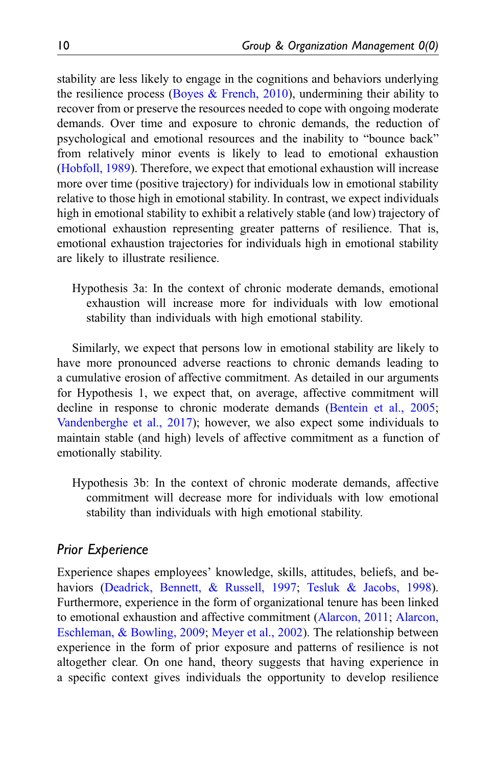stability are less likely to engage in the cognitions and behaviors underlying the resilience process (Boyes  $\&$  French, 2010), undermining their ability to recover from or preserve the resources needed to cope with ongoing moderate demands. Over time and exposure to chronic demands, the reduction of psychological and emotional resources and the inability to "bounce back" from relatively minor events is likely to lead to emotional exhaustion ([Hobfoll, 1989](#page-40-7)). Therefore, we expect that emotional exhaustion will increase more over time (positive trajectory) for individuals low in emotional stability relative to those high in emotional stability. In contrast, we expect individuals high in emotional stability to exhibit a relatively stable (and low) trajectory of emotional exhaustion representing greater patterns of resilience. That is, emotional exhaustion trajectories for individuals high in emotional stability are likely to illustrate resilience.

Hypothesis 3a: In the context of chronic moderate demands, emotional exhaustion will increase more for individuals with low emotional stability than individuals with high emotional stability.

Similarly, we expect that persons low in emotional stability are likely to have more pronounced adverse reactions to chronic demands leading to a cumulative erosion of affective commitment. As detailed in our arguments for Hypothesis 1, we expect that, on average, affective commitment will decline in response to chronic moderate demands [\(Bentein et al., 2005;](#page-38-4) [Vandenberghe et al., 2017\)](#page-43-5); however, we also expect some individuals to maintain stable (and high) levels of affective commitment as a function of emotionally stability.

Hypothesis 3b: In the context of chronic moderate demands, affective commitment will decrease more for individuals with low emotional stability than individuals with high emotional stability.

## Prior Experience

Experience shapes employees' knowledge, skills, attitudes, beliefs, and be-haviors [\(Deadrick, Bennett, & Russell, 1997;](#page-39-6) [Tesluk & Jacobs, 1998\)](#page-43-7). Furthermore, experience in the form of organizational tenure has been linked to emotional exhaustion and affective commitment ([Alarcon, 2011;](#page-37-2) [Alarcon,](#page-37-3) [Eschleman, & Bowling, 2009;](#page-37-3) [Meyer et al., 2002\)](#page-42-3). The relationship between experience in the form of prior exposure and patterns of resilience is not altogether clear. On one hand, theory suggests that having experience in a specific context gives individuals the opportunity to develop resilience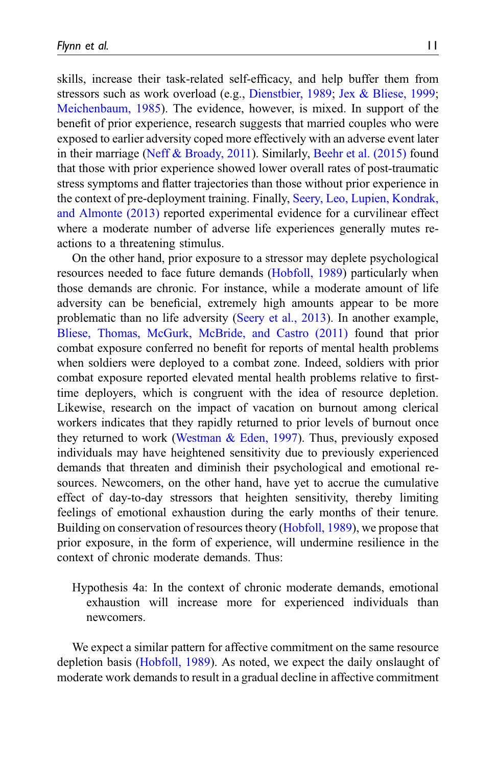skills, increase their task-related self-efficacy, and help buffer them from stressors such as work overload (e.g., [Dienstbier, 1989](#page-39-7); [Jex & Bliese, 1999;](#page-40-10) [Meichenbaum, 1985\)](#page-41-10). The evidence, however, is mixed. In support of the benefit of prior experience, research suggests that married couples who were exposed to earlier adversity coped more effectively with an adverse event later in their marriage [\(Neff & Broady, 2011](#page-42-7)). Similarly, [Beehr et al. \(2015\)](#page-38-5) found that those with prior experience showed lower overall rates of post-traumatic stress symptoms and flatter trajectories than those without prior experience in the context of pre-deployment training. Finally, [Seery, Leo, Lupien, Kondrak,](#page-42-8) [and Almonte \(2013\)](#page-42-8) reported experimental evidence for a curvilinear effect where a moderate number of adverse life experiences generally mutes reactions to a threatening stimulus.

On the other hand, prior exposure to a stressor may deplete psychological resources needed to face future demands ([Hobfoll, 1989\)](#page-40-7) particularly when those demands are chronic. For instance, while a moderate amount of life adversity can be beneficial, extremely high amounts appear to be more problematic than no life adversity ([Seery et al., 2013\)](#page-42-8). In another example, [Bliese, Thomas, McGurk, McBride, and Castro \(2011\)](#page-38-7) found that prior combat exposure conferred no benefit for reports of mental health problems when soldiers were deployed to a combat zone. Indeed, soldiers with prior combat exposure reported elevated mental health problems relative to firsttime deployers, which is congruent with the idea of resource depletion. Likewise, research on the impact of vacation on burnout among clerical workers indicates that they rapidly returned to prior levels of burnout once they returned to work (Westman  $& Eden$ , 1997). Thus, previously exposed individuals may have heightened sensitivity due to previously experienced demands that threaten and diminish their psychological and emotional resources. Newcomers, on the other hand, have yet to accrue the cumulative effect of day-to-day stressors that heighten sensitivity, thereby limiting feelings of emotional exhaustion during the early months of their tenure. Building on conservation of resources theory [\(Hobfoll, 1989](#page-40-7)), we propose that prior exposure, in the form of experience, will undermine resilience in the context of chronic moderate demands. Thus:

Hypothesis 4a: In the context of chronic moderate demands, emotional exhaustion will increase more for experienced individuals than newcomers.

We expect a similar pattern for affective commitment on the same resource depletion basis ([Hobfoll, 1989](#page-40-7)). As noted, we expect the daily onslaught of moderate work demands to result in a gradual decline in affective commitment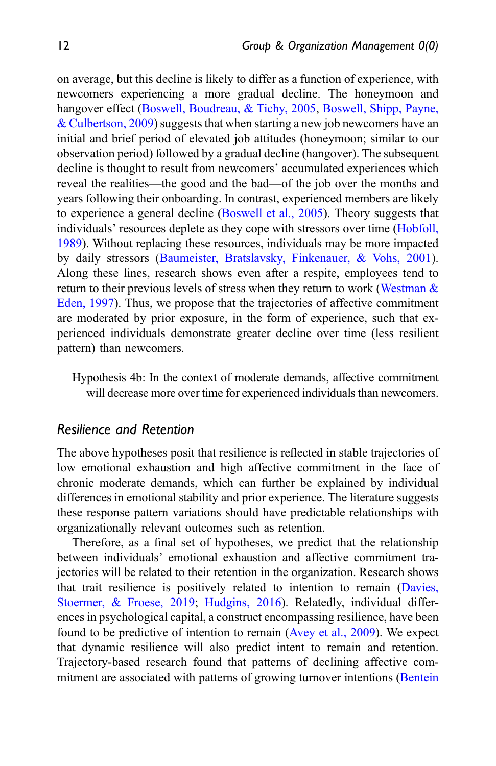on average, but this decline is likely to differ as a function of experience, with newcomers experiencing a more gradual decline. The honeymoon and hangover effect [\(Boswell, Boudreau, & Tichy, 2005](#page-38-8), [Boswell, Shipp, Payne,](#page-39-8) [& Culbertson, 2009\)](#page-39-8) suggests that when starting a new job newcomers have an initial and brief period of elevated job attitudes (honeymoon; similar to our observation period) followed by a gradual decline (hangover). The subsequent decline is thought to result from newcomers' accumulated experiences which reveal the realities—the good and the bad—of the job over the months and years following their onboarding. In contrast, experienced members are likely to experience a general decline [\(Boswell et al., 2005](#page-38-8)). Theory suggests that individuals' resources deplete as they cope with stressors over time [\(Hobfoll,](#page-40-7) [1989\)](#page-40-7). Without replacing these resources, individuals may be more impacted by daily stressors [\(Baumeister, Bratslavsky, Finkenauer, & Vohs, 2001\)](#page-38-9). Along these lines, research shows even after a respite, employees tend to return to their previous levels of stress when they return to work ([Westman &](#page-44-1) [Eden, 1997](#page-44-1)). Thus, we propose that the trajectories of affective commitment are moderated by prior exposure, in the form of experience, such that experienced individuals demonstrate greater decline over time (less resilient pattern) than newcomers.

Hypothesis 4b: In the context of moderate demands, affective commitment will decrease more over time for experienced individuals than newcomers.

## Resilience and Retention

The above hypotheses posit that resilience is reflected in stable trajectories of low emotional exhaustion and high affective commitment in the face of chronic moderate demands, which can further be explained by individual differences in emotional stability and prior experience. The literature suggests these response pattern variations should have predictable relationships with organizationally relevant outcomes such as retention.

Therefore, as a final set of hypotheses, we predict that the relationship between individuals' emotional exhaustion and affective commitment trajectories will be related to their retention in the organization. Research shows that trait resilience is positively related to intention to remain [\(Davies,](#page-39-9) [Stoermer, & Froese, 2019;](#page-39-9) [Hudgins, 2016\)](#page-40-2). Relatedly, individual differences in psychological capital, a construct encompassing resilience, have been found to be predictive of intention to remain ([Avey et al., 2009\)](#page-37-1). We expect that dynamic resilience will also predict intent to remain and retention. Trajectory-based research found that patterns of declining affective commitment are associated with patterns of growing turnover intentions ([Bentein](#page-38-4)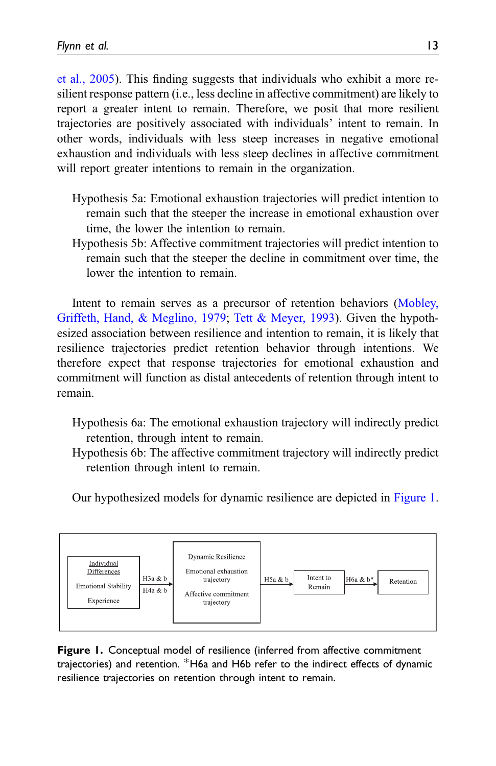[et al., 2005\)](#page-38-4). This finding suggests that individuals who exhibit a more resilient response pattern (i.e., less decline in affective commitment) are likely to report a greater intent to remain. Therefore, we posit that more resilient trajectories are positively associated with individuals' intent to remain. In other words, individuals with less steep increases in negative emotional exhaustion and individuals with less steep declines in affective commitment will report greater intentions to remain in the organization.

- Hypothesis 5a: Emotional exhaustion trajectories will predict intention to remain such that the steeper the increase in emotional exhaustion over time, the lower the intention to remain.
- Hypothesis 5b: Affective commitment trajectories will predict intention to remain such that the steeper the decline in commitment over time, the lower the intention to remain.

Intent to remain serves as a precursor of retention behaviors ([Mobley,](#page-42-9) [Griffeth, Hand, & Meglino, 1979;](#page-42-9) [Tett & Meyer, 1993\)](#page-43-8). Given the hypothesized association between resilience and intention to remain, it is likely that resilience trajectories predict retention behavior through intentions. We therefore expect that response trajectories for emotional exhaustion and commitment will function as distal antecedents of retention through intent to remain.

- Hypothesis 6a: The emotional exhaustion trajectory will indirectly predict retention, through intent to remain.
- Hypothesis 6b: The affective commitment trajectory will indirectly predict retention through intent to remain.

Our hypothesized models for dynamic resilience are depicted in [Figure 1.](#page-12-0)



<span id="page-12-0"></span>Figure 1. Conceptual model of resilience (inferred from affective commitment trajectories) and retention. \*H6a and H6b refer to the indirect effects of dynamic resilience trajectories on retention through intent to remain.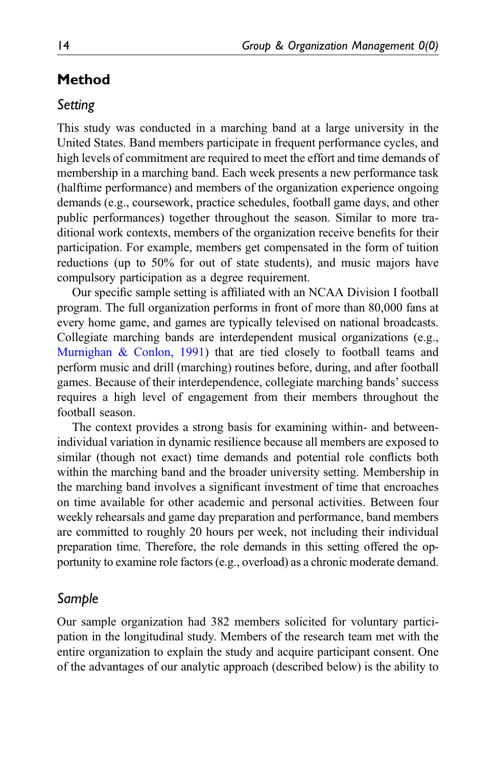# Method

## Setting

This study was conducted in a marching band at a large university in the United States. Band members participate in frequent performance cycles, and high levels of commitment are required to meet the effort and time demands of membership in a marching band. Each week presents a new performance task (halftime performance) and members of the organization experience ongoing demands (e.g., coursework, practice schedules, football game days, and other public performances) together throughout the season. Similar to more traditional work contexts, members of the organization receive benefits for their participation. For example, members get compensated in the form of tuition reductions (up to 50% for out of state students), and music majors have compulsory participation as a degree requirement.

Our specific sample setting is affiliated with an NCAA Division I football program. The full organization performs in front of more than 80,000 fans at every home game, and games are typically televised on national broadcasts. Collegiate marching bands are interdependent musical organizations (e.g., [Murnighan & Conlon, 1991\)](#page-42-10) that are tied closely to football teams and perform music and drill (marching) routines before, during, and after football games. Because of their interdependence, collegiate marching bands'success requires a high level of engagement from their members throughout the football season.

The context provides a strong basis for examining within- and betweenindividual variation in dynamic resilience because all members are exposed to similar (though not exact) time demands and potential role conflicts both within the marching band and the broader university setting. Membership in the marching band involves a significant investment of time that encroaches on time available for other academic and personal activities. Between four weekly rehearsals and game day preparation and performance, band members are committed to roughly 20 hours per week, not including their individual preparation time. Therefore, the role demands in this setting offered the opportunity to examine role factors (e.g., overload) as a chronic moderate demand.

## Sample

Our sample organization had 382 members solicited for voluntary participation in the longitudinal study. Members of the research team met with the entire organization to explain the study and acquire participant consent. One of the advantages of our analytic approach (described below) is the ability to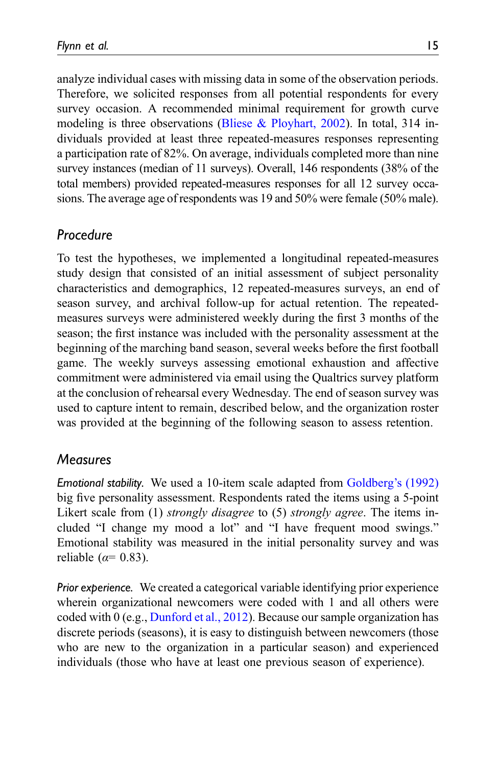analyze individual cases with missing data in some of the observation periods. Therefore, we solicited responses from all potential respondents for every survey occasion. A recommended minimal requirement for growth curve modeling is three observations ([Bliese & Ployhart, 2002](#page-38-10)). In total, 314 individuals provided at least three repeated-measures responses representing a participation rate of 82%. On average, individuals completed more than nine survey instances (median of 11 surveys). Overall, 146 respondents (38% of the total members) provided repeated-measures responses for all 12 survey occasions. The average age of respondents was 19 and 50% were female (50% male).

## Procedure

To test the hypotheses, we implemented a longitudinal repeated-measures study design that consisted of an initial assessment of subject personality characteristics and demographics, 12 repeated-measures surveys, an end of season survey, and archival follow-up for actual retention. The repeatedmeasures surveys were administered weekly during the first 3 months of the season; the first instance was included with the personality assessment at the beginning of the marching band season, several weeks before the first football game. The weekly surveys assessing emotional exhaustion and affective commitment were administered via email using the Qualtrics survey platform at the conclusion of rehearsal every Wednesday. The end of season survey was used to capture intent to remain, described below, and the organization roster was provided at the beginning of the following season to assess retention.

# Measures

Emotional stability. We used a 10-item scale adapted from [Goldberg](#page-40-11)'s (1992) big five personality assessment. Respondents rated the items using a 5-point Likert scale from (1) *strongly disagree* to (5) *strongly agree*. The items included "I change my mood a lot" and "I have frequent mood swings." Emotional stability was measured in the initial personality survey and was reliable ( $\alpha$ = 0.83).

Prior experience. We created a categorical variable identifying prior experience wherein organizational newcomers were coded with 1 and all others were coded with 0 (e.g., [Dunford et al., 2012](#page-39-2)). Because our sample organization has discrete periods (seasons), it is easy to distinguish between newcomers (those who are new to the organization in a particular season) and experienced individuals (those who have at least one previous season of experience).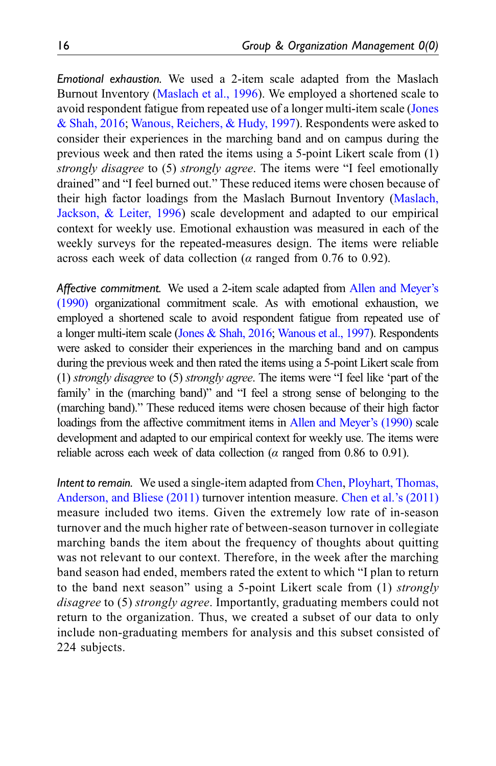Emotional exhaustion. We used a 2-item scale adapted from the Maslach Burnout Inventory [\(Maslach et al., 1996](#page-41-11)). We employed a shortened scale to avoid respondent fatigue from repeated use of a longer multi-item scale [\(Jones](#page-40-12) [& Shah, 2016;](#page-40-12) [Wanous, Reichers, & Hudy, 1997](#page-43-9)). Respondents were asked to consider their experiences in the marching band and on campus during the previous week and then rated the items using a 5-point Likert scale from (1) strongly disagree to (5) strongly agree. The items were "I feel emotionally drained" and "I feel burned out." These reduced items were chosen because of their high factor loadings from the Maslach Burnout Inventory [\(Maslach,](#page-41-11) [Jackson, & Leiter, 1996\)](#page-41-11) scale development and adapted to our empirical context for weekly use. Emotional exhaustion was measured in each of the weekly surveys for the repeated-measures design. The items were reliable across each week of data collection ( $\alpha$  ranged from 0.76 to 0.92).

Affective commitment. We used a 2-item scale adapted from [Allen and Meyer](#page-37-4)'s [\(1990\)](#page-37-4) organizational commitment scale. As with emotional exhaustion, we employed a shortened scale to avoid respondent fatigue from repeated use of a longer multi-item scale [\(Jones & Shah, 2016](#page-40-12); [Wanous et al., 1997](#page-43-9)). Respondents were asked to consider their experiences in the marching band and on campus during the previous week and then rated the items using a 5-point Likert scale from (1) strongly disagree to (5) strongly agree. The items were "I feel like 'part of the family' in the (marching band)" and "I feel a strong sense of belonging to the (marching band)." These reduced items were chosen because of their high factor loadings from the affective commitment items in [Allen and Meyer](#page-37-4)'s (1990) scale development and adapted to our empirical context for weekly use. The items were reliable across each week of data collection ( $\alpha$  ranged from 0.86 to 0.91).

Intent to remain. We used a single-item adapted from [Chen,](#page-39-10) [Ployhart, Thomas,](#page-39-10) [Anderson, and Bliese \(2011\)](#page-39-10) turnover intention measure. [Chen et al.](#page-39-10)'s (2011) measure included two items. Given the extremely low rate of in-season turnover and the much higher rate of between-season turnover in collegiate marching bands the item about the frequency of thoughts about quitting was not relevant to our context. Therefore, in the week after the marching band season had ended, members rated the extent to which "I plan to return to the band next season" using a 5-point Likert scale from (1) strongly disagree to (5) strongly agree. Importantly, graduating members could not return to the organization. Thus, we created a subset of our data to only include non-graduating members for analysis and this subset consisted of 224 subjects.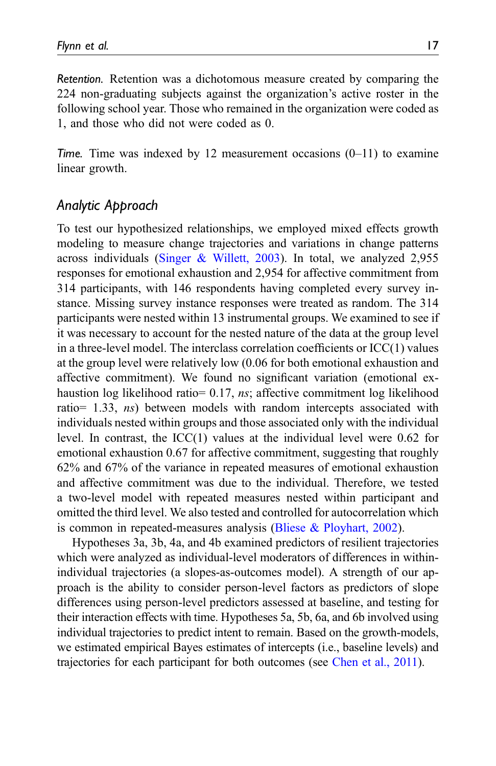Retention. Retention was a dichotomous measure created by comparing the 224 non-graduating subjects against the organization's active roster in the following school year. Those who remained in the organization were coded as 1, and those who did not were coded as 0.

Time. Time was indexed by 12 measurement occasions  $(0-11)$  to examine linear growth.

# Analytic Approach

To test our hypothesized relationships, we employed mixed effects growth modeling to measure change trajectories and variations in change patterns across individuals ([Singer & Willett, 2003\)](#page-43-10). In total, we analyzed 2,955 responses for emotional exhaustion and 2,954 for affective commitment from 314 participants, with 146 respondents having completed every survey instance. Missing survey instance responses were treated as random. The 314 participants were nested within 13 instrumental groups. We examined to see if it was necessary to account for the nested nature of the data at the group level in a three-level model. The interclass correlation coefficients or  $\text{ICC}(1)$  values at the group level were relatively low (0.06 for both emotional exhaustion and affective commitment). We found no significant variation (emotional exhaustion log likelihood ratio= 0.17, ns; affective commitment log likelihood ratio= 1.33, ns) between models with random intercepts associated with individuals nested within groups and those associated only with the individual level. In contrast, the  $\text{ICC}(1)$  values at the individual level were 0.62 for emotional exhaustion 0.67 for affective commitment, suggesting that roughly 62% and 67% of the variance in repeated measures of emotional exhaustion and affective commitment was due to the individual. Therefore, we tested a two-level model with repeated measures nested within participant and omitted the third level. We also tested and controlled for autocorrelation which is common in repeated-measures analysis ([Bliese & Ployhart, 2002\)](#page-38-10).

Hypotheses 3a, 3b, 4a, and 4b examined predictors of resilient trajectories which were analyzed as individual-level moderators of differences in withinindividual trajectories (a slopes-as-outcomes model). A strength of our approach is the ability to consider person-level factors as predictors of slope differences using person-level predictors assessed at baseline, and testing for their interaction effects with time. Hypotheses 5a, 5b, 6a, and 6b involved using individual trajectories to predict intent to remain. Based on the growth-models, we estimated empirical Bayes estimates of intercepts (i.e., baseline levels) and trajectories for each participant for both outcomes (see [Chen et al., 2011\)](#page-39-10).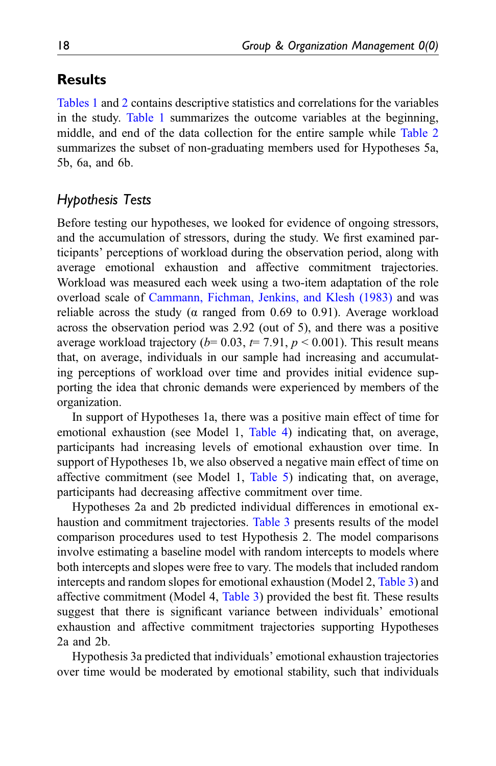# **Results**

[Tables 1](#page-18-0) and [2](#page-19-0) contains descriptive statistics and correlations for the variables in the study. [Table 1](#page-18-0) summarizes the outcome variables at the beginning, middle, and end of the data collection for the entire sample while [Table 2](#page-19-0) summarizes the subset of non-graduating members used for Hypotheses 5a, 5b, 6a, and 6b.

## Hypothesis Tests

Before testing our hypotheses, we looked for evidence of ongoing stressors, and the accumulation of stressors, during the study. We first examined participants' perceptions of workload during the observation period, along with average emotional exhaustion and affective commitment trajectories. Workload was measured each week using a two-item adaptation of the role overload scale of [Cammann, Fichman, Jenkins, and Klesh \(1983\)](#page-39-11) and was reliable across the study ( $\alpha$  ranged from 0.69 to 0.91). Average workload across the observation period was 2.92 (out of 5), and there was a positive average workload trajectory ( $b= 0.03$ ,  $t= 7.91$ ,  $p < 0.001$ ). This result means that, on average, individuals in our sample had increasing and accumulating perceptions of workload over time and provides initial evidence supporting the idea that chronic demands were experienced by members of the organization.

In support of Hypotheses 1a, there was a positive main effect of time for emotional exhaustion (see Model 1, [Table 4](#page-21-0)) indicating that, on average, participants had increasing levels of emotional exhaustion over time. In support of Hypotheses 1b, we also observed a negative main effect of time on affective commitment (see Model 1, [Table 5\)](#page-21-1) indicating that, on average, participants had decreasing affective commitment over time.

Hypotheses 2a and 2b predicted individual differences in emotional exhaustion and commitment trajectories. [Table 3](#page-20-0) presents results of the model comparison procedures used to test Hypothesis 2. The model comparisons involve estimating a baseline model with random intercepts to models where both intercepts and slopes were free to vary. The models that included random intercepts and random slopes for emotional exhaustion (Model 2, [Table 3\)](#page-20-0) and affective commitment (Model 4, [Table 3](#page-20-0)) provided the best fit. These results suggest that there is significant variance between individuals' emotional exhaustion and affective commitment trajectories supporting Hypotheses 2a and 2b.

Hypothesis 3a predicted that individuals' emotional exhaustion trajectories over time would be moderated by emotional stability, such that individuals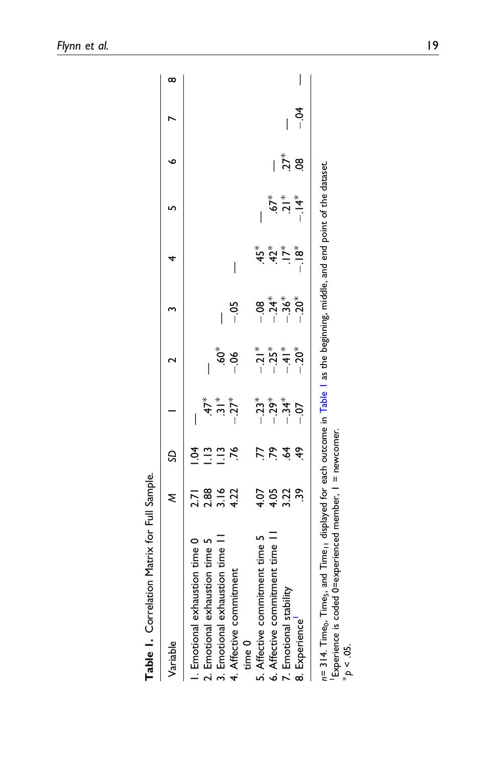<span id="page-18-1"></span><span id="page-18-0"></span>

| Variable                                                                                                                                                                                                                                               |                                                    | S                                 |                                                                                    |                                                                 | $\overline{ }$                                        |                                                                                            | י<br>ט                            | $\bullet$  |             | ∞ |
|--------------------------------------------------------------------------------------------------------------------------------------------------------------------------------------------------------------------------------------------------------|----------------------------------------------------|-----------------------------------|------------------------------------------------------------------------------------|-----------------------------------------------------------------|-------------------------------------------------------|--------------------------------------------------------------------------------------------|-----------------------------------|------------|-------------|---|
| 5. Affective commitment time 5<br>3. Emotional exhaustion time I<br>I. Emotional exhaustion time 0<br>2. Emotional exhaustion time 5<br>6. Affective commitment time I<br>4. Affective commitment<br>7. Emotional stability<br>8. Experience<br>time 0 | 3.16<br>39<br>2.88<br>4.22<br>3.22<br>4.07<br>4.05 | ड<br>!<br>76<br>ξĹ.<br>$\ddot{r}$ | $-23^{*}$<br>$-29^{*}$<br>$-34*$<br>$-27$ <sup>*</sup><br>$47*$<br>$rac{*}{\cdot}$ | $-21$ *<br>$-25$ *<br>$-41*$<br>$-.20*$<br>$60^*$<br>$-06$<br>I | $-36*$<br>$-0.20^{*}$<br>,<br>°<br>⊢ ∶ ∣<br>ಕ್ತ−<br>I | $\overset{*}{\mathbf{3}}$<br>$\overset{*}{\mathbf{4}}$<br>$\sum_{i=1}^{k}$<br>$-18^*$<br>I | $\frac{1}{2}$<br>$-14*$<br>$.67*$ | $27*$<br>8 | ₹<br>∣<br>I |   |
| n= 314. Time <sub>9</sub> , Time <sub>9</sub> , and Time <sub>11</sub> displayed for each outcome in Table 1 as the beginning, middle, and end point of the dataset<br>Experience is coded 0=experienced member, I = newcomer<br>$\phi > 0.5$          |                                                    |                                   |                                                                                    |                                                                 |                                                       |                                                                                            |                                   |            |             |   |

Table 1. Correlation Matrix for Full Sample. Table 1. Correlation Matrix for Full Sample.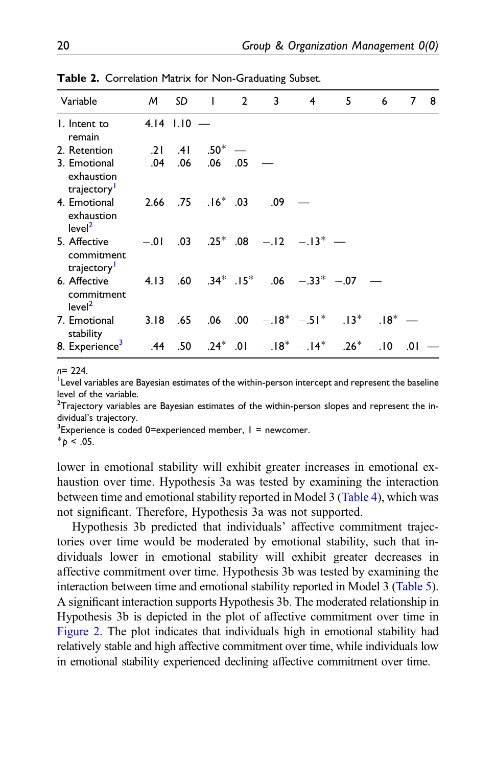| Variable                                         |               | M SD |                         | $1 \quad 2$ | 3   | 4                                                                  | 5 | 6 | 7   | - 8 |
|--------------------------------------------------|---------------|------|-------------------------|-------------|-----|--------------------------------------------------------------------|---|---|-----|-----|
| I. Intent to<br>remain                           | $4.14$ $1.10$ |      |                         |             |     |                                                                    |   |   |     |     |
| 2. Retention                                     | .21           | .41  | $.50^*$                 |             |     |                                                                    |   |   |     |     |
| 3. Emotional<br>exhaustion<br>trajectory         | .04           | .06  | $.06$ .05               |             |     |                                                                    |   |   |     |     |
| 4. Emotional<br>exhaustion<br>level <sup>2</sup> |               |      | $2.66$ .75 $-.16^*$ .03 |             | .09 |                                                                    |   |   |     |     |
| 5. Affective<br>commitment<br>trajectory         |               |      |                         |             |     | $-.01$ .03 .25 <sup>*</sup> .08 $-.12$ $-.13$ <sup>*</sup> $-$     |   |   |     |     |
| 6. Affective<br>commitment<br>level <sup>2</sup> |               |      |                         |             |     | 4.13 .60 .34* .15* .06 $-.33*$ -.07                                |   |   |     |     |
| 7. Emotional<br>stability                        |               |      |                         |             |     | 3.18 .65 .06 .00 $-18^*$ $-51^*$ .13 <sup>*</sup> .18 <sup>*</sup> |   |   |     |     |
| 8. Experience <sup>3</sup>                       |               |      |                         |             |     | .44 .50 .24* .01 $-18^*$ $-14^*$ .26* $-10$                        |   |   | .01 |     |

Table 2. Correlation Matrix for Non-Graduating Subset.

n= 224.

<span id="page-19-1"></span><sup>1</sup> Level variables are Bayesian estimates of the within-person intercept and represent the baseline level of the variable.

<span id="page-19-2"></span> $^{2}$ Trajectory variables are Bayesian estimates of the within-person slopes and represent the individual's trajectory.

<span id="page-19-3"></span> $3$ Experience is coded 0=experienced member,  $1 =$  newcomer.

<span id="page-19-0"></span> $*_{\mathcal{D}}$  < .05.

lower in emotional stability will exhibit greater increases in emotional exhaustion over time. Hypothesis 3a was tested by examining the interaction between time and emotional stability reported in Model 3 ([Table 4](#page-21-0)), which was not significant. Therefore, Hypothesis 3a was not supported.

Hypothesis 3b predicted that individuals' affective commitment trajectories over time would be moderated by emotional stability, such that individuals lower in emotional stability will exhibit greater decreases in affective commitment over time. Hypothesis 3b was tested by examining the interaction between time and emotional stability reported in Model 3 [\(Table 5\)](#page-21-1). A significant interaction supports Hypothesis 3b. The moderated relationship in Hypothesis 3b is depicted in the plot of affective commitment over time in [Figure 2.](#page-22-0) The plot indicates that individuals high in emotional stability had relatively stable and high affective commitment over time, while individuals low in emotional stability experienced declining affective commitment over time.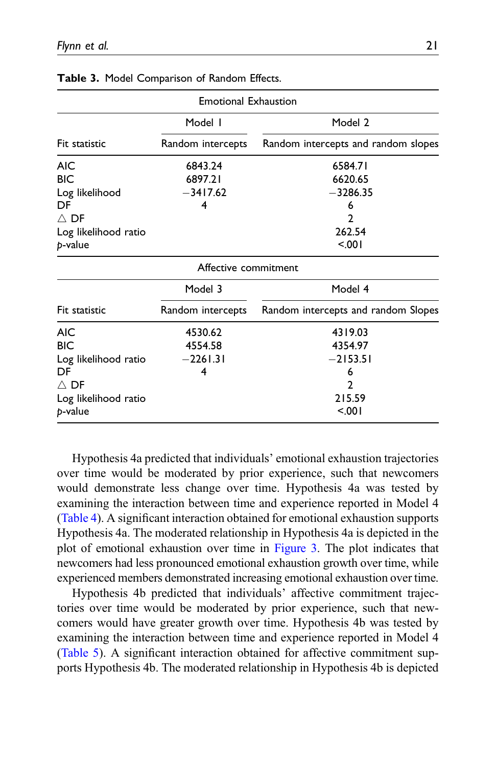|                      | <b>Emotional Exhaustion</b> |                                     |
|----------------------|-----------------------------|-------------------------------------|
|                      | Model I                     | Model 2                             |
| Fit statistic        | Random intercepts           | Random intercepts and random slopes |
| <b>AIC</b>           | 6843.24                     | 6584.71                             |
| <b>BIC</b>           | 6897.21                     | 6620.65                             |
| Log likelihood       | $-3417.62$                  | $-3286.35$                          |
| DF                   | 4                           | 6                                   |
| $\wedge$ DF          |                             | 2                                   |
| Log likelihood ratio |                             | 262.54                              |
| p-value              |                             | 5.001                               |
|                      | Affective commitment        |                                     |
|                      | Model 3                     | Model 4                             |
| Fit statistic        | Random intercepts           | Random intercepts and random Slopes |
| <b>AIC</b>           | 4530.62                     | 4319.03                             |
| <b>BIC</b>           | 4554.58                     | 4354.97                             |
| Log likelihood ratio | $-2261.31$                  | $-2153.51$                          |
| DF                   | 4                           | 6                                   |
| $\wedge$ DF          |                             | 2                                   |
| Log likelihood ratio |                             | 215.59                              |
| p-value              |                             | 5.001                               |

<span id="page-20-0"></span>

|  |  | Table 3. Model Comparison of Random Effects. |  |  |  |
|--|--|----------------------------------------------|--|--|--|
|--|--|----------------------------------------------|--|--|--|

Hypothesis 4a predicted that individuals' emotional exhaustion trajectories over time would be moderated by prior experience, such that newcomers would demonstrate less change over time. Hypothesis 4a was tested by examining the interaction between time and experience reported in Model 4 ([Table 4](#page-21-0)). A significant interaction obtained for emotional exhaustion supports Hypothesis 4a. The moderated relationship in Hypothesis 4a is depicted in the plot of emotional exhaustion over time in [Figure 3](#page-23-0). The plot indicates that newcomers had less pronounced emotional exhaustion growth over time, while experienced members demonstrated increasing emotional exhaustion over time.

Hypothesis 4b predicted that individuals' affective commitment trajectories over time would be moderated by prior experience, such that newcomers would have greater growth over time. Hypothesis 4b was tested by examining the interaction between time and experience reported in Model 4 ([Table 5](#page-21-1)). A significant interaction obtained for affective commitment supports Hypothesis 4b. The moderated relationship in Hypothesis 4b is depicted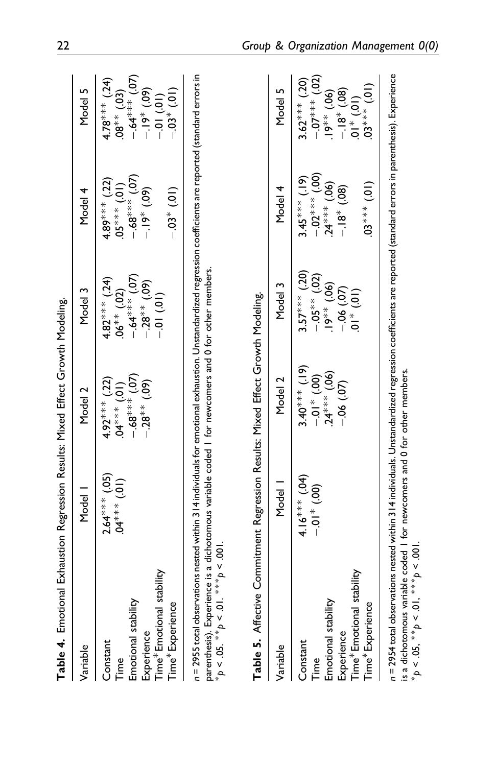<span id="page-21-1"></span><span id="page-21-0"></span>

| Table 4. Emotional Exhaustion Regression Results: Mixed Effect Growth Modeling                                                                                                                                                                                                                                                                                                                    |                                        |                                                                                       |                                                                                        |                                                                                      |                                                                                                                                        |
|---------------------------------------------------------------------------------------------------------------------------------------------------------------------------------------------------------------------------------------------------------------------------------------------------------------------------------------------------------------------------------------------------|----------------------------------------|---------------------------------------------------------------------------------------|----------------------------------------------------------------------------------------|--------------------------------------------------------------------------------------|----------------------------------------------------------------------------------------------------------------------------------------|
| Variable                                                                                                                                                                                                                                                                                                                                                                                          | Model                                  | Model 2                                                                               | Model 3                                                                                | Model 4                                                                              | Model 5                                                                                                                                |
| ime* Emotional stability<br>Emotional stability<br>Time*Experience<br>Experience<br>Constant<br>Cime<br>E                                                                                                                                                                                                                                                                                         | $2.64***$ (.05)<br>$(10)$ *** (.01)    | $.04***$ $(.01)$<br>-.68 <sup>***</sup> $(.07)$<br>$4.92***$ (.22)<br>$-0.28**$ (.09) | $-64***$ $(07)$<br>$4.82***$ (.24)<br>$-28**$ (.09)<br>$.06*** (.02)$<br>$-0.01$ (.01) | $-68***$ (.07)<br>$4.89***$ (.22)<br>$05***(01)$<br>$-19*$ (.09)<br>$-0.03*$ (.01)   | $-64***$ (.07)<br>$4.78***$ (.24)<br>$-19^*$ (.09)<br>- 01 (.01)<br>$-0.03*0.01$<br>$.08*** (.03)$                                     |
| n = 2955 total observations nested within 314 individuals for emotional exhaustion. Unstandardized regression coefficients are reported (standard errors in<br>parenthesis). Experience is a dichotomous variable coded I for newcomers and 0 for other members.<br>Table 5. Affective Commitment Regression Results: Mixed Effect Growth Modeling.<br>$*_{p} < .05. **_{p} < .01. **_{p} < .001$ |                                        |                                                                                       |                                                                                        |                                                                                      |                                                                                                                                        |
| Variable                                                                                                                                                                                                                                                                                                                                                                                          | Model                                  | Model 2                                                                               | Model 3                                                                                | Model 4                                                                              | Model 5                                                                                                                                |
| ime* Emotional stability<br>Emotional stability<br>Time <sup>*</sup> Experience<br>Experience<br>Constant<br>Time                                                                                                                                                                                                                                                                                 | $4.16***$ (.04)<br>$-0.0$ <sup>*</sup> | $3.40***$ (.19)<br>-0.1* (.00)<br>-24*** (.06)<br>$-0.06$ $(07)$                      | $3.57***$ (.20)<br>$-0.05**$ (.02)<br>$19^{**}$ (.06)<br>$-06$ $(07)$<br>01* $(01)$    | $3.45***$ (.19)<br>-.02*** (.00)<br>$.24***$ (.06)<br>$(10)$ *** (01)<br>$-18*(.08)$ | $-0.07***02$<br>$3.62***$ (.20)<br>$(10)$ *** $(2)$<br>$\begin{array}{c} .19^{**} (.06) \\ -.18^{*} (.08) \\ 01^{*} (.01) \end{array}$ |
| $n$ = 2954 total observations nested within 314 individuals. Unstandardized regression coefficients are reported (standard errors in parenthesis). Experience<br>is a dichotomous variable coded I for newcomers and 0 for other members.<br>* $p < .05,$ ** $p < .01,$ *** $p < .001$                                                                                                            |                                        |                                                                                       |                                                                                        |                                                                                      |                                                                                                                                        |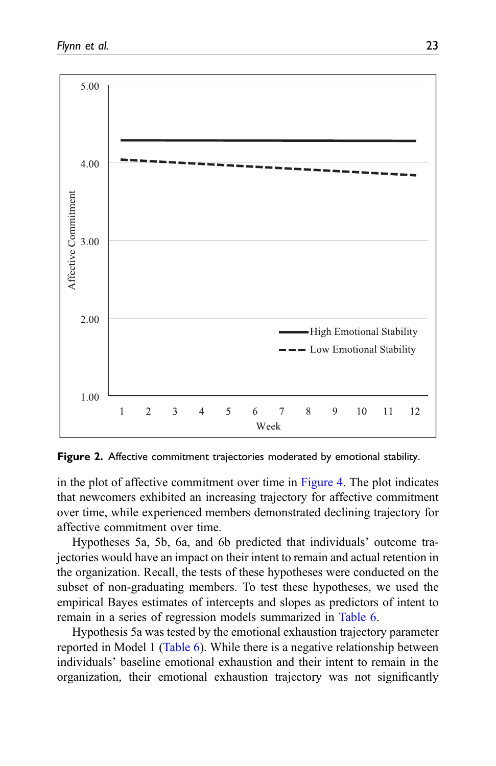

<span id="page-22-0"></span>Figure 2. Affective commitment trajectories moderated by emotional stability.

in the plot of affective commitment over time in [Figure 4.](#page-24-0) The plot indicates that newcomers exhibited an increasing trajectory for affective commitment over time, while experienced members demonstrated declining trajectory for affective commitment over time.

Hypotheses 5a, 5b, 6a, and 6b predicted that individuals' outcome trajectories would have an impact on their intent to remain and actual retention in the organization. Recall, the tests of these hypotheses were conducted on the subset of non-graduating members. To test these hypotheses, we used the empirical Bayes estimates of intercepts and slopes as predictors of intent to remain in a series of regression models summarized in [Table 6.](#page-24-1)

Hypothesis 5a was tested by the emotional exhaustion trajectory parameter reported in Model 1 [\(Table 6\)](#page-24-1). While there is a negative relationship between individuals' baseline emotional exhaustion and their intent to remain in the organization, their emotional exhaustion trajectory was not significantly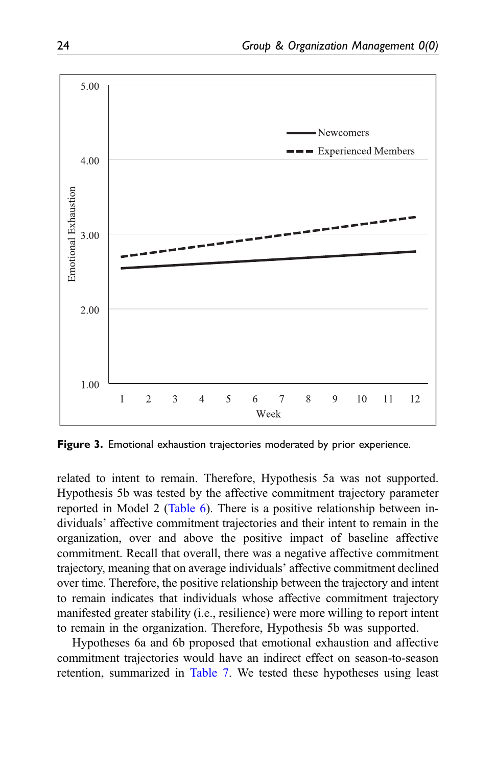

<span id="page-23-0"></span>Figure 3. Emotional exhaustion trajectories moderated by prior experience.

related to intent to remain. Therefore, Hypothesis 5a was not supported. Hypothesis 5b was tested by the affective commitment trajectory parameter reported in Model 2 [\(Table 6\)](#page-24-1). There is a positive relationship between individuals' affective commitment trajectories and their intent to remain in the organization, over and above the positive impact of baseline affective commitment. Recall that overall, there was a negative affective commitment trajectory, meaning that on average individuals' affective commitment declined over time. Therefore, the positive relationship between the trajectory and intent to remain indicates that individuals whose affective commitment trajectory manifested greater stability (i.e., resilience) were more willing to report intent to remain in the organization. Therefore, Hypothesis 5b was supported.

Hypotheses 6a and 6b proposed that emotional exhaustion and affective commitment trajectories would have an indirect effect on season-to-season retention, summarized in [Table 7.](#page-25-0) We tested these hypotheses using least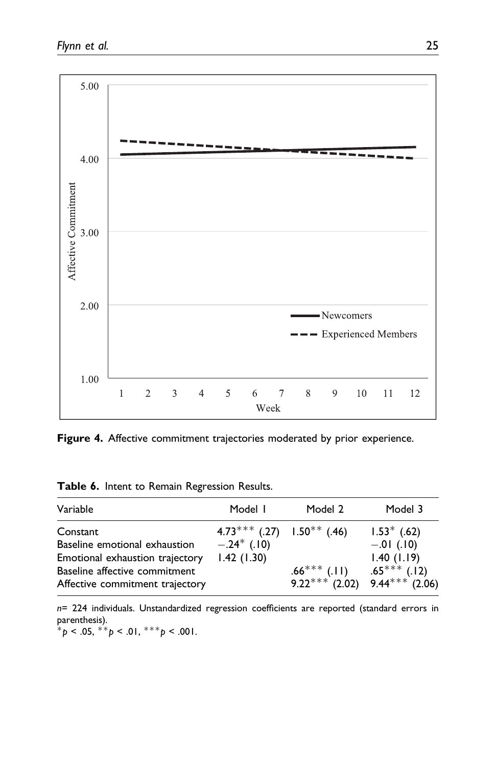

<span id="page-24-0"></span>Figure 4. Affective commitment trajectories moderated by prior experience.

|  |  |  | Table 6. Intent to Remain Regression Results. |  |
|--|--|--|-----------------------------------------------|--|
|--|--|--|-----------------------------------------------|--|

| Variable                                                                                                                                         | Model I                                                       | Model 2                            | Model 3                                                                            |
|--------------------------------------------------------------------------------------------------------------------------------------------------|---------------------------------------------------------------|------------------------------------|------------------------------------------------------------------------------------|
| Constant<br>Baseline emotional exhaustion<br>Emotional exhaustion trajectory<br>Baseline affective commitment<br>Affective commitment trajectory | $4.73***$ (.27) $1.50**$ (.46)<br>$-.24*$ (.10)<br>1.42(1.30) | $.66***$ (.11)<br>$9.22***$ (2.02) | $1.53^*$ (.62)<br>$-.01$ (.10)<br>1.40(1.19)<br>$.65***$ (.12)<br>$9.44***$ (2.06) |

n= 224 individuals. Unstandardized regression coefficients are reported (standard errors in parenthesis).

<span id="page-24-1"></span> $^*p$  < .05,  $^*p$  < .01,  $^{***}p$  < .001.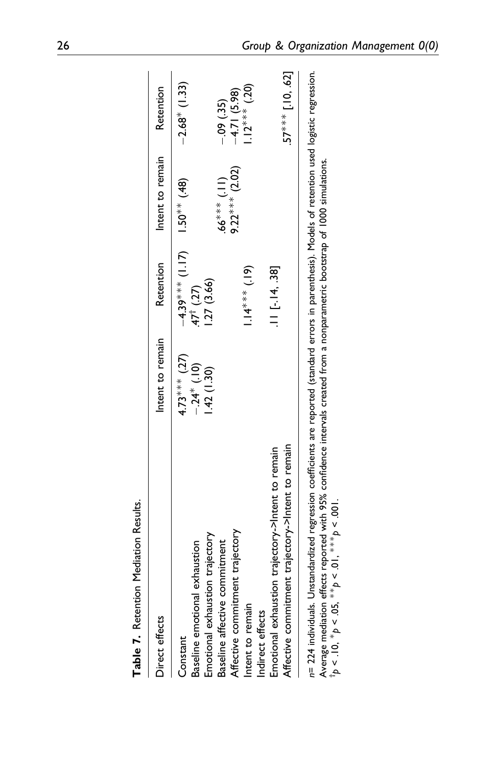| <b>Construction of the construction of the construction of the construction of the construction of the construction of the construction of the construction of the construction of the construction of the construction of the c</b> |                          |                                    |                  |                     |
|--------------------------------------------------------------------------------------------------------------------------------------------------------------------------------------------------------------------------------------|--------------------------|------------------------------------|------------------|---------------------|
| Direct effects                                                                                                                                                                                                                       | Intent to remain         | Retention                          | Intent to remain | Retention           |
| Constant                                                                                                                                                                                                                             | $4.73***$ (.27)          | $-4.39$ * * * 0.0.1 (1.17)         |                  | $-2.68*$ (1.33)     |
| Emotional exhaustion trajectory<br>Baseline emotional exhaustion                                                                                                                                                                     | $-24*(10)$<br>1.42(1.30) | 1.27(3.66)<br>$47^{\dagger}$ (.27) |                  |                     |
| Baseline affective commitment                                                                                                                                                                                                        |                          |                                    | $(11)$ *** 66    | $-0.09(35)$         |
| Affective commitment trajectory                                                                                                                                                                                                      |                          |                                    | 9.22*** $(2.02)$ | $-4.71(5.98)$       |
| Intent to remain                                                                                                                                                                                                                     |                          | $1.14***$ (.19)                    |                  | $1.12***$ (.20)     |
| Indirect effects                                                                                                                                                                                                                     |                          |                                    |                  |                     |
| Emotional exhaustion trajectory->Intent to remain                                                                                                                                                                                    |                          | $.11$ [ $-.14, .38$ ]              |                  |                     |
| Affective commitment trajectory->Intent to remain                                                                                                                                                                                    |                          |                                    |                  | $.57***$ [.10, .62] |
| n= 224 individuals. Unstandardized regression coefficients are reported (standard errors in parenthesis). Models of retention used logistic regression.                                                                              |                          |                                    |                  |                     |

| J |
|---|
|   |
| l |
| ľ |
| í |

<span id="page-25-0"></span>in - 221 illuminudas. Oinsania uized regression coeniciens are reported Standard errors in parentiness). I iodes or recentoin use<br>Average mediation effects reported with 95% confidence intervals created from a nonparamet Average mediation effects reported with 95% confidence intervals created from a nonparametric bootstrap of 1000 simulations.

 $\frac{1}{p}$  < .10,  $* p$  < .05,  $* p$  < .01,  $* * p$  < .001.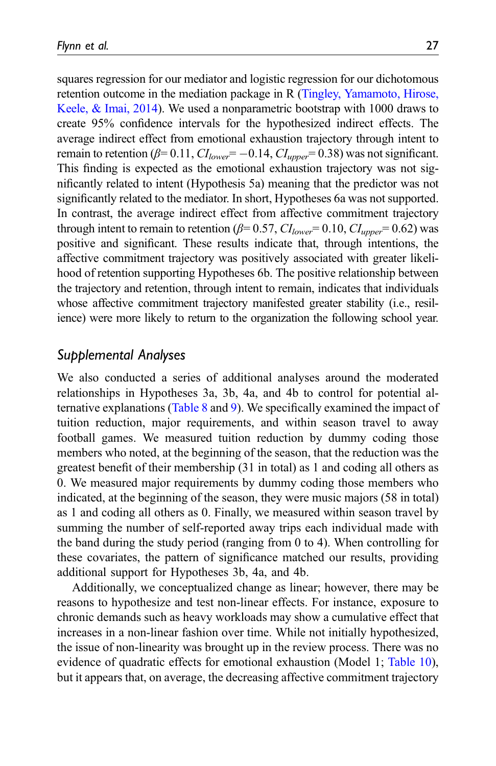squares regression for our mediator and logistic regression for our dichotomous retention outcome in the mediation package in R ([Tingley, Yamamoto, Hirose,](#page-43-11) [Keele, & Imai, 2014\)](#page-43-11). We used a nonparametric bootstrap with 1000 draws to create 95% confidence intervals for the hypothesized indirect effects. The average indirect effect from emotional exhaustion trajectory through intent to remain to retention ( $\beta$ = 0.11,  $CI_{lower}$ = -0.14,  $CI_{upper}$ = 0.38) was not significant. This finding is expected as the emotional exhaustion trajectory was not significantly related to intent (Hypothesis 5a) meaning that the predictor was not significantly related to the mediator. In short, Hypotheses 6a was not supported. In contrast, the average indirect effect from affective commitment trajectory

through intent to remain to retention ( $\beta$ = 0.57,  $CI_{lower}$ = 0.10,  $CI_{upper}$ = 0.62) was positive and significant. These results indicate that, through intentions, the affective commitment trajectory was positively associated with greater likelihood of retention supporting Hypotheses 6b. The positive relationship between the trajectory and retention, through intent to remain, indicates that individuals whose affective commitment trajectory manifested greater stability (i.e., resilience) were more likely to return to the organization the following school year.

## Supplemental Analyses

We also conducted a series of additional analyses around the moderated relationships in Hypotheses 3a, 3b, 4a, and 4b to control for potential alternative explanations [\(Table 8](#page-27-0) and [9](#page-27-1)). We specifically examined the impact of tuition reduction, major requirements, and within season travel to away football games. We measured tuition reduction by dummy coding those members who noted, at the beginning of the season, that the reduction was the greatest benefit of their membership (31 in total) as 1 and coding all others as 0. We measured major requirements by dummy coding those members who indicated, at the beginning of the season, they were music majors (58 in total) as 1 and coding all others as 0. Finally, we measured within season travel by summing the number of self-reported away trips each individual made with the band during the study period (ranging from 0 to 4). When controlling for these covariates, the pattern of significance matched our results, providing additional support for Hypotheses 3b, 4a, and 4b.

Additionally, we conceptualized change as linear; however, there may be reasons to hypothesize and test non-linear effects. For instance, exposure to chronic demands such as heavy workloads may show a cumulative effect that increases in a non-linear fashion over time. While not initially hypothesized, the issue of non-linearity was brought up in the review process. There was no evidence of quadratic effects for emotional exhaustion (Model 1; [Table 10\)](#page-28-0), but it appears that, on average, the decreasing affective commitment trajectory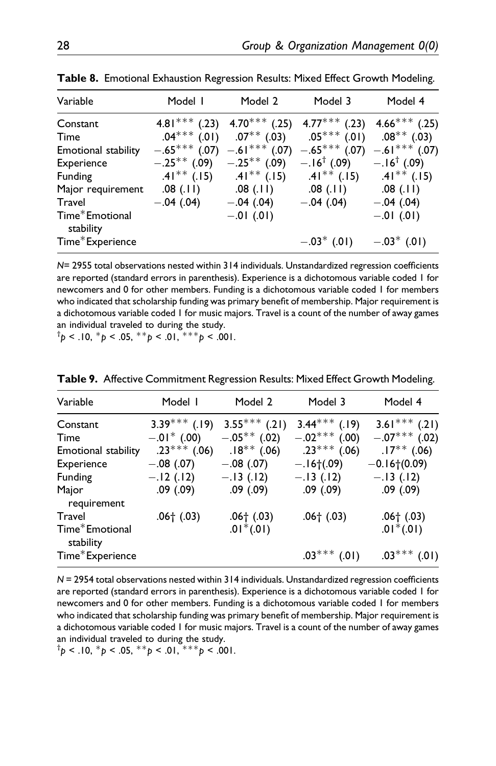$-.01$  (.01)  $-.01$  (.01)

| Variable            | Model I          | Model 2         | Model 3                | Model 4                |
|---------------------|------------------|-----------------|------------------------|------------------------|
| Constant            | $4.81***$ (.23)  | 4.70*** $(.25)$ | $4.77***$ (.23)        | $4.66***$ (.25)        |
| Time                | $.04***$ $(.01)$ | $.07***$ (.03)  | $.05***$ (.01)         | $.08***$ (.03)         |
| Emotional stability | $-.65***$ (.07)  | $-.61***$ (.07) | $-.65***$ (.07)        | $-.61***$ (.07)        |
| Experience          | $-.25***$ (.09)  | $-.25***$ (.09) | $-.16^{\dagger}$ (.09) | $-.16^{\dagger}$ (.09) |
| Funding             | $.41***$ (.15)   | $.41***$ (.15)  | $.41***$ (.15)         | $.41***$ (.15)         |
| Major requirement   | .08(.11)         | $.08$ (.11)     | $.08$ (.11)            | .08(11)                |
| Travel              | $-.04(.04)$      | $-.04(.04)$     | $-.04(.04)$            | $-.04(.04)$            |
|                     |                  |                 |                        |                        |

Table 8. Emotional Exhaustion Regression Results: Mixed Effect Growth Modeling.

N= 2955 total observations nested within 314 individuals. Unstandardized regression coefficients are reported (standard errors in parenthesis). Experience is a dichotomous variable coded 1 for newcomers and 0 for other members. Funding is a dichotomous variable coded 1 for members who indicated that scholarship funding was primary benefit of membership. Major requirement is a dichotomous variable coded 1 for music majors. Travel is a count of the number of away games an individual traveled to during the study.

 $Time*$  Experience  $-.03*$   $(.01)$   $-.03*$   $(.01)$ 

<span id="page-27-0"></span> $^{\dagger}p$  < .10,  $^{\ast}p$  < .05,  $^{\ast\ast}p$  < .01,  $^{\ast\ast\ast}p$  < .001.

| Variable                    | Model I                   | Model 2         | Model 3         | Model 4         |
|-----------------------------|---------------------------|-----------------|-----------------|-----------------|
| Constant                    | $3.39***$ (.19)           | $3.55***$ (.21) | $3.44***$ (.19) | $3.61***$ (.21) |
| Time                        | $-.01$ <sup>*</sup> (.00) | $-.05***$ (.02) | $-.02***$ (.00) | $-.07***$ (.02) |
| Emotional stability         | $.23***$ (.06)            | $.18***$ (.06)  | $.23***$ (.06)  | $.17***$ (.06)  |
| Experience                  | $-.08$ (.07)              | $-.08(.07)$     | $-.16(.09)$     | $-0.16+(0.09)$  |
| <b>Funding</b>              | $-.12(.12)$               | $-.13(.12)$     | $-.13(.12)$     | $-.13(.12)$     |
| Major<br>requirement        | $.09$ $(.09)$             | $.09$ $(.09)$   | $.09$ $(.09)$   | .09(.09)        |
| Travel                      | $.06+ (.03)$              | $.06+ (.03)$    | $.06+ (.03)$    | $.06+ (.03)$    |
| Time*Emotional<br>stability |                           | $.01*(.01)$     |                 | $.01*(.01)$     |
| Time*Experience             |                           |                 | $.03***$ (.01)  | $.03***$ (.01)  |

Table 9. Affective Commitment Regression Results: Mixed Effect Growth Modeling.

N = 2954 total observations nested within 314 individuals. Unstandardized regression coefficients are reported (standard errors in parenthesis). Experience is a dichotomous variable coded 1 for newcomers and 0 for other members. Funding is a dichotomous variable coded 1 for members who indicated that scholarship funding was primary benefit of membership. Major requirement is a dichotomous variable coded 1 for music majors. Travel is a count of the number of away games an individual traveled to during the study.

<span id="page-27-1"></span> $^{\dagger}p$  < .10,  $^{\ast}p$  < .05,  $^{\ast\ast}p$  < .01,  $^{\ast\ast\ast}p$  < .001.

Time<sup>\*</sup>Emotional stability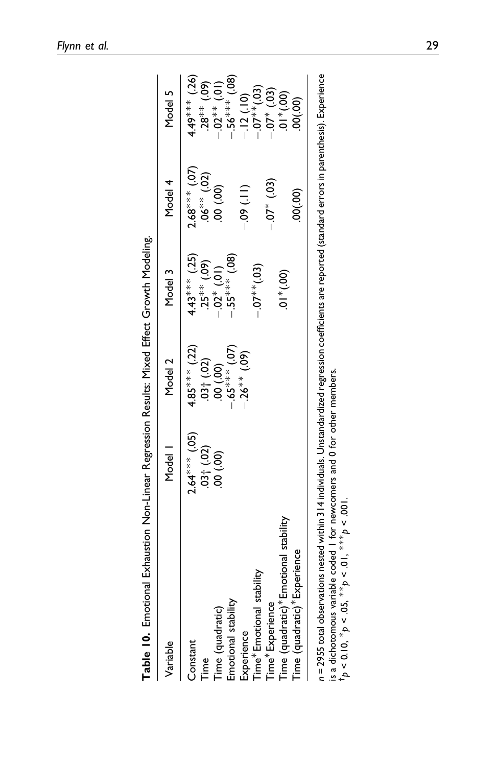| Variable                             | Model                            | Model 2          | Model 3               | Model 4          | Model 5                      |
|--------------------------------------|----------------------------------|------------------|-----------------------|------------------|------------------------------|
| Constant                             | $2.64***$ (.05)                  | $4.85***$ (.22)  | $4.43***$ (.25)       | $2.68***$ (.07)  | $4.49***$ (.26)              |
| Time                                 |                                  |                  | $(60^{\circ})$ ** 55. | $.06^{**}$ (.02) | $(60^{\circ})$ **82.         |
| Time (quadratic)                     | $.03\uparrow(.02)$<br>$.00(.00)$ | (00)(000, 000)   | $-.02*(.01)$          | $(00)$ 00.       | $-0.02**$ (.01)              |
| Emotional stability                  |                                  | $(5^{***}$ (.07) | $-55***$ (.08)        |                  | $.56*** (.08)$               |
| Experience                           |                                  | $-26**$ (.09)    |                       | $-0.0$           | $-.12(.10)$                  |
| Time* Emotional stability            |                                  |                  | $-0.07**$ (.03)       |                  | $-0.07**$ (.03)              |
| Time*Experience                      |                                  |                  |                       | $-0.07*0.03$     | $-07$ $*$ (.03)              |
| Time (quadratic)*Emotional stability |                                  |                  | $(00^*)$ * $(00)$     |                  | $(00^{\circ})$ $*10^{\circ}$ |
| Time (quadratic)* Experience         |                                  |                  |                       | 00(00)           | 00(.00)                      |

<span id="page-28-0"></span>is a dichotomous variable coded 1 for newcomers and 0 for other members.<br>
<sup>1</sup> $p < 0.10$ ,  $* p < .05$ ,  $* p < .01$ ,  $* * p < .001$ . is a dichotomous variable coded 1 for newcomers and 0 for other members.

 $\frac{1}{p}$  < 0.10,  $* p$  < .05,  $* p$  < .01,  $* * p$  < .001.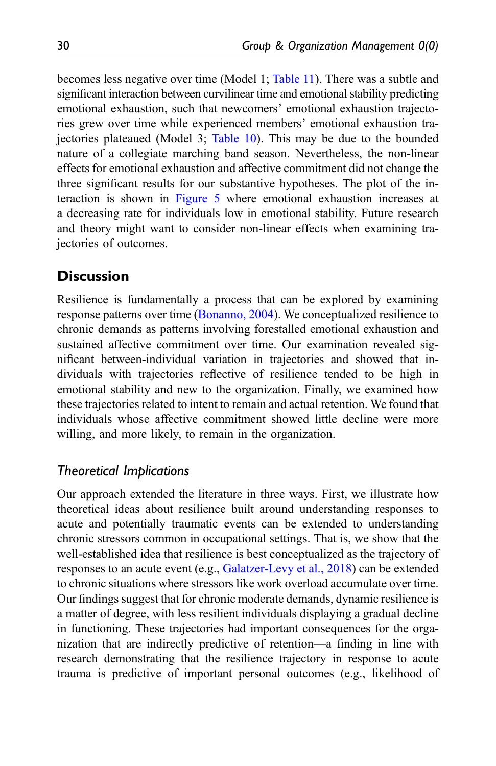becomes less negative over time (Model 1; [Table 11\)](#page-30-0). There was a subtle and significant interaction between curvilinear time and emotional stability predicting emotional exhaustion, such that newcomers' emotional exhaustion trajectories grew over time while experienced members' emotional exhaustion trajectories plateaued (Model 3; [Table 10\)](#page-28-0). This may be due to the bounded nature of a collegiate marching band season. Nevertheless, the non-linear effects for emotional exhaustion and affective commitment did not change the three significant results for our substantive hypotheses. The plot of the interaction is shown in [Figure 5](#page-31-0) where emotional exhaustion increases at a decreasing rate for individuals low in emotional stability. Future research and theory might want to consider non-linear effects when examining trajectories of outcomes.

## **Discussion**

Resilience is fundamentally a process that can be explored by examining response patterns over time [\(Bonanno, 2004\)](#page-38-1). We conceptualized resilience to chronic demands as patterns involving forestalled emotional exhaustion and sustained affective commitment over time. Our examination revealed significant between-individual variation in trajectories and showed that individuals with trajectories reflective of resilience tended to be high in emotional stability and new to the organization. Finally, we examined how these trajectories related to intent to remain and actual retention. We found that individuals whose affective commitment showed little decline were more willing, and more likely, to remain in the organization.

### Theoretical Implications

Our approach extended the literature in three ways. First, we illustrate how theoretical ideas about resilience built around understanding responses to acute and potentially traumatic events can be extended to understanding chronic stressors common in occupational settings. That is, we show that the well-established idea that resilience is best conceptualized as the trajectory of responses to an acute event (e.g., [Galatzer-Levy et al., 2018](#page-40-6)) can be extended to chronic situations where stressors like work overload accumulate over time. Our findings suggest that for chronic moderate demands, dynamic resilience is a matter of degree, with less resilient individuals displaying a gradual decline in functioning. These trajectories had important consequences for the organization that are indirectly predictive of retention—a finding in line with research demonstrating that the resilience trajectory in response to acute trauma is predictive of important personal outcomes (e.g., likelihood of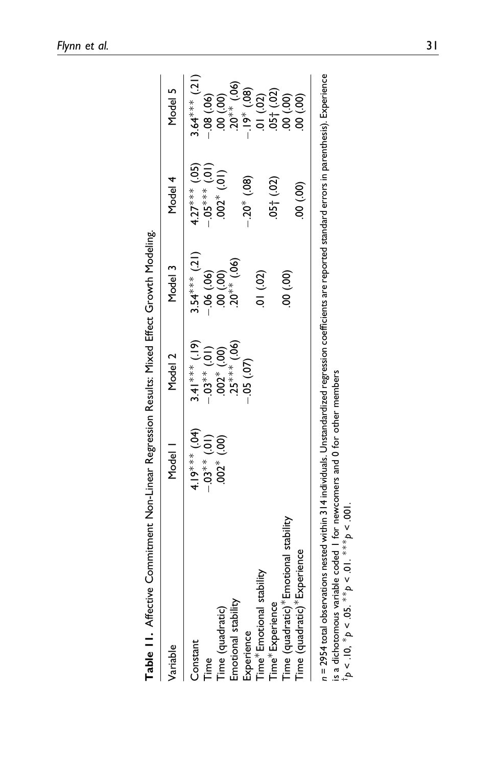| Variable                             | Model                 | Model 2         | Model 3          | Model 4           | Model 5                      |
|--------------------------------------|-----------------------|-----------------|------------------|-------------------|------------------------------|
| Constant                             | $4.19***$ (.04)       | $3.41***$ (.19) | $3.54***$ (.21)  | $4.27***$ (.05)   | $3.64***$ (.21)              |
| Time                                 | $-0.03$ * (.01)       | $-0.03**$ (.01) | $-06(.06)$       | $-0.05***(01)$    | .08(.06)                     |
| Time (quadratic)                     | $(00^{1})$ $*$ $(00)$ | $.002*(.00)$    | (00, 00.         | $.002*$ (.01)     | $(00)$ 00.                   |
| Emotional stability                  |                       | $.25***(.06)$   | $.20^{**}$ (.06) |                   | $20^{**}$ (.06)              |
| Experience                           |                       | $-0.05$ (.07)   |                  | $-0.20^{*}$ (.08) | $(80^{\circ})$ $*61^{\circ}$ |
| Time* Emotional stability            |                       |                 | $(30)$ $(0.02)$  |                   | .01(02)                      |
| Time*Experience                      |                       |                 |                  | (0.01, 0.02)      | (55, 05)                     |
| Time (quadratic)*Emotional stability |                       |                 | $(90)$ 00.       |                   | (00, 00.                     |
| Time (quadratic)* Experience         |                       |                 |                  | (00)<br>00        | (00, 00)                     |

<span id="page-30-0"></span>is a dichotomous variable coded 1 for newcomers and 0 for other members  $\uparrow$   $\uparrow$   $>$  .10,  $\uparrow$   $\rho$  < .05. \*\* $\rho$  < .01. \*\*\*  $\rho$  < .001. is a dichotomous variable coded 1 for newcomers and 0 for other members

 $\frac{1}{p}$  < .10,  $\frac{*}{p}$  < .05.  $\frac{*}{p}$  < .01.  $\frac{*}{p}$  × .001.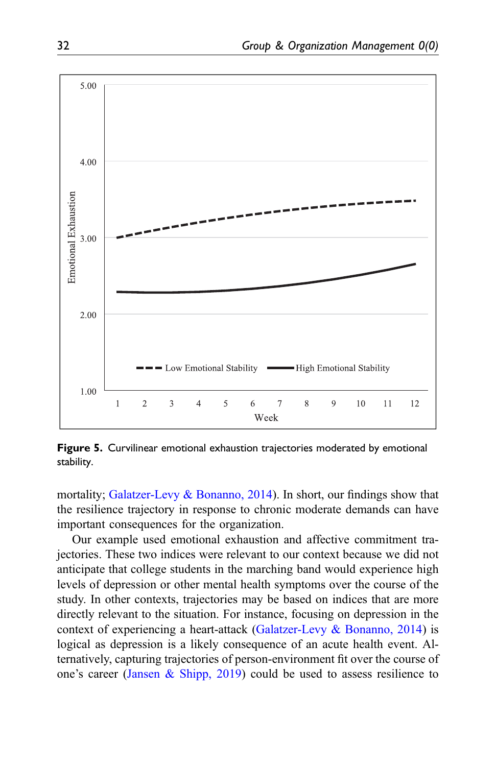

<span id="page-31-0"></span>Figure 5. Curvilinear emotional exhaustion trajectories moderated by emotional stability.

mortality; [Galatzer-Levy & Bonanno, 2014\)](#page-40-3). In short, our findings show that the resilience trajectory in response to chronic moderate demands can have important consequences for the organization.

Our example used emotional exhaustion and affective commitment trajectories. These two indices were relevant to our context because we did not anticipate that college students in the marching band would experience high levels of depression or other mental health symptoms over the course of the study. In other contexts, trajectories may be based on indices that are more directly relevant to the situation. For instance, focusing on depression in the context of experiencing a heart-attack [\(Galatzer-Levy & Bonanno, 2014](#page-40-3)) is logical as depression is a likely consequence of an acute health event. Alternatively, capturing trajectories of person-environment fit over the course of one's career [\(Jansen & Shipp, 2019\)](#page-40-13) could be used to assess resilience to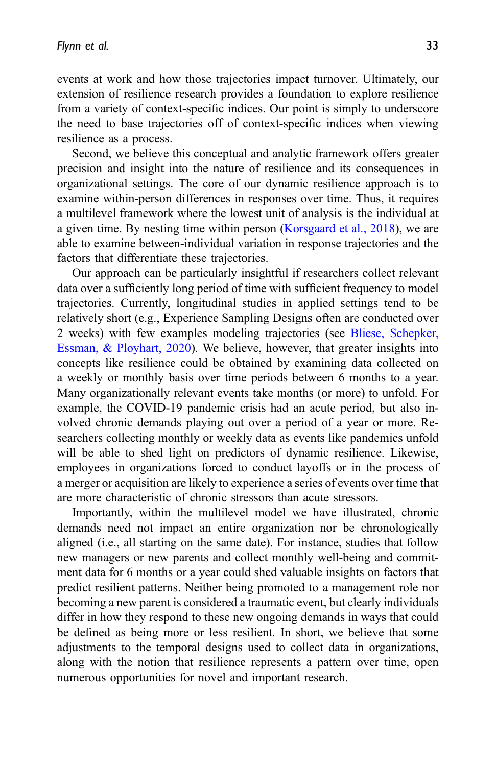events at work and how those trajectories impact turnover. Ultimately, our extension of resilience research provides a foundation to explore resilience from a variety of context-specific indices. Our point is simply to underscore the need to base trajectories off of context-specific indices when viewing resilience as a process.

Second, we believe this conceptual and analytic framework offers greater precision and insight into the nature of resilience and its consequences in organizational settings. The core of our dynamic resilience approach is to examine within-person differences in responses over time. Thus, it requires a multilevel framework where the lowest unit of analysis is the individual at a given time. By nesting time within person ([Korsgaard et al., 2018\)](#page-41-3), we are able to examine between-individual variation in response trajectories and the factors that differentiate these trajectories.

Our approach can be particularly insightful if researchers collect relevant data over a sufficiently long period of time with sufficient frequency to model trajectories. Currently, longitudinal studies in applied settings tend to be relatively short (e.g., Experience Sampling Designs often are conducted over 2 weeks) with few examples modeling trajectories (see [Bliese, Schepker,](#page-38-11) [Essman, & Ployhart, 2020\)](#page-38-11). We believe, however, that greater insights into concepts like resilience could be obtained by examining data collected on a weekly or monthly basis over time periods between 6 months to a year. Many organizationally relevant events take months (or more) to unfold. For example, the COVID-19 pandemic crisis had an acute period, but also involved chronic demands playing out over a period of a year or more. Researchers collecting monthly or weekly data as events like pandemics unfold will be able to shed light on predictors of dynamic resilience. Likewise, employees in organizations forced to conduct layoffs or in the process of a merger or acquisition are likely to experience a series of events over time that are more characteristic of chronic stressors than acute stressors.

Importantly, within the multilevel model we have illustrated, chronic demands need not impact an entire organization nor be chronologically aligned (i.e., all starting on the same date). For instance, studies that follow new managers or new parents and collect monthly well-being and commitment data for 6 months or a year could shed valuable insights on factors that predict resilient patterns. Neither being promoted to a management role nor becoming a new parent is considered a traumatic event, but clearly individuals differ in how they respond to these new ongoing demands in ways that could be defined as being more or less resilient. In short, we believe that some adjustments to the temporal designs used to collect data in organizations, along with the notion that resilience represents a pattern over time, open numerous opportunities for novel and important research.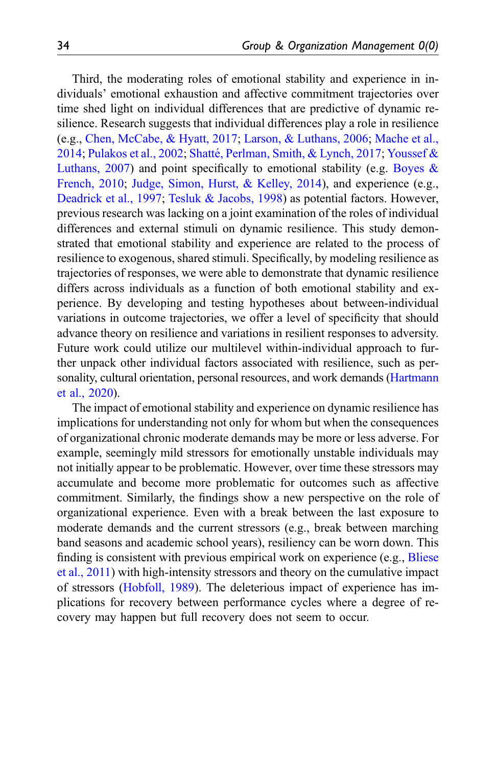Third, the moderating roles of emotional stability and experience in individuals' emotional exhaustion and affective commitment trajectories over time shed light on individual differences that are predictive of dynamic resilience. Research suggests that individual differences play a role in resilience (e.g., [Chen, McCabe, & Hyatt, 2017;](#page-39-12) [Larson, & Luthans, 2006](#page-41-12); [Mache et al.,](#page-41-13) [2014;](#page-41-13) [Pulakos et al., 2002;](#page-42-11) [Shatt](#page-43-12)é[, Perlman, Smith, & Lynch, 2017](#page-43-12); [Youssef &](#page-44-2) [Luthans, 2007\)](#page-44-2) and point specifically to emotional stability (e.g. [Boyes &](#page-39-5) [French, 2010;](#page-39-5) [Judge, Simon, Hurst, & Kelley, 2014](#page-41-14)), and experience (e.g., [Deadrick et al., 1997](#page-39-6); [Tesluk & Jacobs, 1998\)](#page-43-7) as potential factors. However, previous research was lacking on a joint examination of the roles of individual differences and external stimuli on dynamic resilience. This study demonstrated that emotional stability and experience are related to the process of resilience to exogenous, shared stimuli. Specifically, by modeling resilience as trajectories of responses, we were able to demonstrate that dynamic resilience differs across individuals as a function of both emotional stability and experience. By developing and testing hypotheses about between-individual variations in outcome trajectories, we offer a level of specificity that should advance theory on resilience and variations in resilient responses to adversity. Future work could utilize our multilevel within-individual approach to further unpack other individual factors associated with resilience, such as personality, cultural orientation, personal resources, and work demands ([Hartmann](#page-40-1) [et al., 2020](#page-40-1)).

The impact of emotional stability and experience on dynamic resilience has implications for understanding not only for whom but when the consequences of organizational chronic moderate demands may be more or less adverse. For example, seemingly mild stressors for emotionally unstable individuals may not initially appear to be problematic. However, over time these stressors may accumulate and become more problematic for outcomes such as affective commitment. Similarly, the findings show a new perspective on the role of organizational experience. Even with a break between the last exposure to moderate demands and the current stressors (e.g., break between marching band seasons and academic school years), resiliency can be worn down. This finding is consistent with previous empirical work on experience (e.g., [Bliese](#page-38-7) [et al., 2011\)](#page-38-7) with high-intensity stressors and theory on the cumulative impact of stressors [\(Hobfoll, 1989](#page-40-7)). The deleterious impact of experience has implications for recovery between performance cycles where a degree of recovery may happen but full recovery does not seem to occur.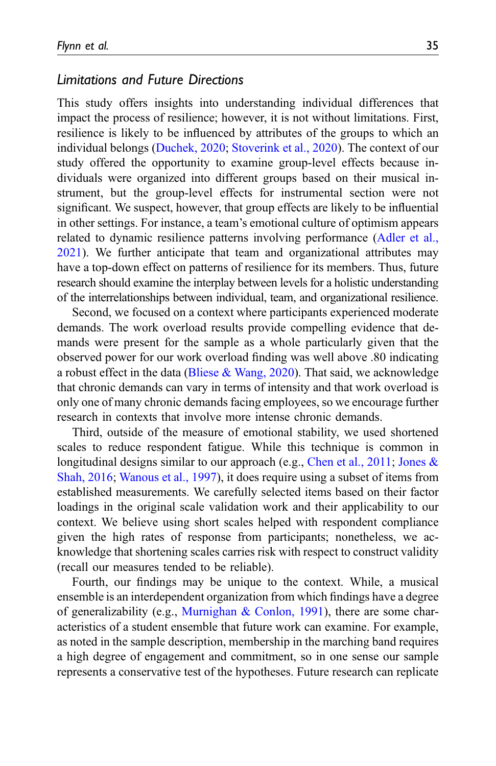### Limitations and Future Directions

This study offers insights into understanding individual differences that impact the process of resilience; however, it is not without limitations. First, resilience is likely to be influenced by attributes of the groups to which an individual belongs [\(Duchek, 2020](#page-39-0); [Stoverink et al., 2020\)](#page-43-0). The context of our study offered the opportunity to examine group-level effects because individuals were organized into different groups based on their musical instrument, but the group-level effects for instrumental section were not significant. We suspect, however, that group effects are likely to be influential in other settings. For instance, a team's emotional culture of optimism appears related to dynamic resilience patterns involving performance [\(Adler et al.,](#page-37-0) [2021\)](#page-37-0). We further anticipate that team and organizational attributes may have a top-down effect on patterns of resilience for its members. Thus, future research should examine the interplay between levels for a holistic understanding of the interrelationships between individual, team, and organizational resilience.

Second, we focused on a context where participants experienced moderate demands. The work overload results provide compelling evidence that demands were present for the sample as a whole particularly given that the observed power for our work overload finding was well above .80 indicating a robust effect in the data (Bliese  $&$  Wang, 2020). That said, we acknowledge that chronic demands can vary in terms of intensity and that work overload is only one of many chronic demands facing employees, so we encourage further research in contexts that involve more intense chronic demands.

Third, outside of the measure of emotional stability, we used shortened scales to reduce respondent fatigue. While this technique is common in longitudinal designs similar to our approach (e.g., [Chen et al., 2011;](#page-39-10) [Jones &](#page-40-12) [Shah, 2016](#page-40-12); [Wanous et al., 1997](#page-43-9)), it does require using a subset of items from established measurements. We carefully selected items based on their factor loadings in the original scale validation work and their applicability to our context. We believe using short scales helped with respondent compliance given the high rates of response from participants; nonetheless, we acknowledge that shortening scales carries risk with respect to construct validity (recall our measures tended to be reliable).

Fourth, our findings may be unique to the context. While, a musical ensemble is an interdependent organization from which findings have a degree of generalizability (e.g., [Murnighan & Conlon, 1991\)](#page-42-10), there are some characteristics of a student ensemble that future work can examine. For example, as noted in the sample description, membership in the marching band requires a high degree of engagement and commitment, so in one sense our sample represents a conservative test of the hypotheses. Future research can replicate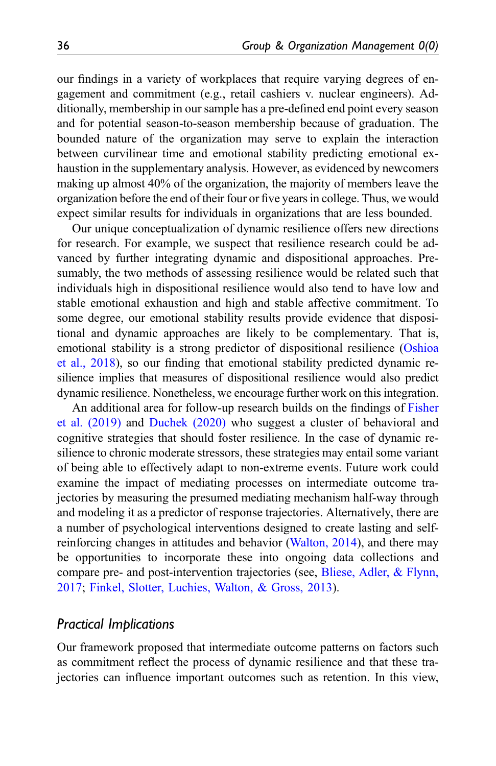our findings in a variety of workplaces that require varying degrees of engagement and commitment (e.g., retail cashiers v. nuclear engineers). Additionally, membership in our sample has a pre-defined end point every season and for potential season-to-season membership because of graduation. The bounded nature of the organization may serve to explain the interaction between curvilinear time and emotional stability predicting emotional exhaustion in the supplementary analysis. However, as evidenced by newcomers making up almost 40% of the organization, the majority of members leave the organization before the end of their four or five years in college. Thus, we would expect similar results for individuals in organizations that are less bounded.

Our unique conceptualization of dynamic resilience offers new directions for research. For example, we suspect that resilience research could be advanced by further integrating dynamic and dispositional approaches. Presumably, the two methods of assessing resilience would be related such that individuals high in dispositional resilience would also tend to have low and stable emotional exhaustion and high and stable affective commitment. To some degree, our emotional stability results provide evidence that dispositional and dynamic approaches are likely to be complementary. That is, emotional stability is a strong predictor of dispositional resilience [\(Oshioa](#page-42-12) [et al., 2018](#page-42-12)), so our finding that emotional stability predicted dynamic resilience implies that measures of dispositional resilience would also predict dynamic resilience. Nonetheless, we encourage further work on this integration.

An additional area for follow-up research builds on the findings of [Fisher](#page-40-0) [et al. \(2019\)](#page-40-0) and [Duchek \(2020\)](#page-39-0) who suggest a cluster of behavioral and cognitive strategies that should foster resilience. In the case of dynamic resilience to chronic moderate stressors, these strategies may entail some variant of being able to effectively adapt to non-extreme events. Future work could examine the impact of mediating processes on intermediate outcome trajectories by measuring the presumed mediating mechanism half-way through and modeling it as a predictor of response trajectories. Alternatively, there are a number of psychological interventions designed to create lasting and selfreinforcing changes in attitudes and behavior [\(Walton, 2014](#page-43-13)), and there may be opportunities to incorporate these into ongoing data collections and compare pre- and post-intervention trajectories (see, [Bliese, Adler, & Flynn,](#page-38-2) [2017;](#page-38-2) [Finkel, Slotter, Luchies, Walton, & Gross, 2013\)](#page-40-14).

## Practical Implications

Our framework proposed that intermediate outcome patterns on factors such as commitment reflect the process of dynamic resilience and that these trajectories can influence important outcomes such as retention. In this view,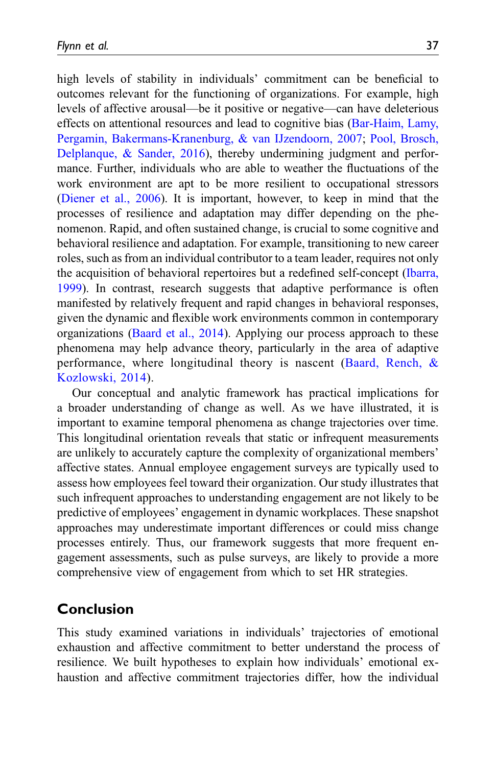high levels of stability in individuals' commitment can be beneficial to outcomes relevant for the functioning of organizations. For example, high levels of affective arousal—be it positive or negative—can have deleterious effects on attentional resources and lead to cognitive bias ([Bar-Haim, Lamy,](#page-37-5) [Pergamin, Bakermans-Kranenburg, & van IJzendoorn, 2007](#page-37-5); [Pool, Brosch,](#page-42-13) [Delplanque, & Sander, 2016\)](#page-42-13), thereby undermining judgment and performance. Further, individuals who are able to weather the fluctuations of the work environment are apt to be more resilient to occupational stressors ([Diener et al., 2006](#page-39-4)). It is important, however, to keep in mind that the processes of resilience and adaptation may differ depending on the phenomenon. Rapid, and often sustained change, is crucial to some cognitive and behavioral resilience and adaptation. For example, transitioning to new career roles, such as from an individual contributor to a team leader, requires not only the acquisition of behavioral repertoires but a redefined self-concept ([Ibarra,](#page-40-15) [1999\)](#page-40-15). In contrast, research suggests that adaptive performance is often manifested by relatively frequent and rapid changes in behavioral responses, given the dynamic and flexible work environments common in contemporary organizations [\(Baard et al., 2014\)](#page-37-6). Applying our process approach to these phenomena may help advance theory, particularly in the area of adaptive performance, where longitudinal theory is nascent ([Baard, Rench, &](#page-37-6) [Kozlowski, 2014](#page-37-6)).

Our conceptual and analytic framework has practical implications for a broader understanding of change as well. As we have illustrated, it is important to examine temporal phenomena as change trajectories over time. This longitudinal orientation reveals that static or infrequent measurements are unlikely to accurately capture the complexity of organizational members' affective states. Annual employee engagement surveys are typically used to assess how employees feel toward their organization. Our study illustrates that such infrequent approaches to understanding engagement are not likely to be predictive of employees' engagement in dynamic workplaces. These snapshot approaches may underestimate important differences or could miss change processes entirely. Thus, our framework suggests that more frequent engagement assessments, such as pulse surveys, are likely to provide a more comprehensive view of engagement from which to set HR strategies.

# Conclusion

This study examined variations in individuals' trajectories of emotional exhaustion and affective commitment to better understand the process of resilience. We built hypotheses to explain how individuals' emotional exhaustion and affective commitment trajectories differ, how the individual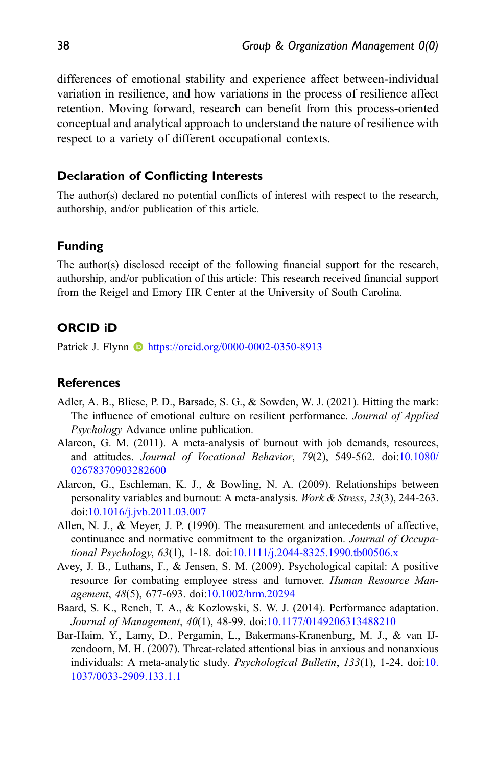differences of emotional stability and experience affect between-individual variation in resilience, and how variations in the process of resilience affect retention. Moving forward, research can benefit from this process-oriented conceptual and analytical approach to understand the nature of resilience with respect to a variety of different occupational contexts.

#### Declaration of Conflicting Interests

The author(s) declared no potential conflicts of interest with respect to the research, authorship, and/or publication of this article.

### Funding

The author(s) disclosed receipt of the following financial support for the research, authorship, and/or publication of this article: This research received financial support from the Reigel and Emory HR Center at the University of South Carolina.

#### ORCID iD

Patrick J. Flynn **I** <https://orcid.org/0000-0002-0350-8913>

#### **References**

- <span id="page-37-0"></span>Adler, A. B., Bliese, P. D., Barsade, S. G., & Sowden, W. J. (2021). Hitting the mark: The influence of emotional culture on resilient performance. Journal of Applied Psychology Advance online publication.
- <span id="page-37-2"></span>Alarcon, G. M. (2011). A meta-analysis of burnout with job demands, resources, and attitudes. Journal of Vocational Behavior, 79(2), 549-562. doi:[10.1080/](https://doi.org/10.1080/02678370903282600) [02678370903282600](https://doi.org/10.1080/02678370903282600)
- <span id="page-37-3"></span>Alarcon, G., Eschleman, K. J., & Bowling, N. A. (2009). Relationships between personality variables and burnout: A meta-analysis. Work & Stress, 23(3), 244-263. doi[:10.1016/j.jvb.2011.03.007](https://doi.org/10.1016/j.jvb.2011.03.007)
- <span id="page-37-4"></span>Allen, N. J., & Meyer, J. P. (1990). The measurement and antecedents of affective, continuance and normative commitment to the organization. Journal of Occupational Psychology, 63(1), 1-18. doi:[10.1111/j.2044-8325.1990.tb00506.x](https://doi.org/10.1111/j.2044-8325.1990.tb00506.x)
- <span id="page-37-1"></span>Avey, J. B., Luthans, F., & Jensen, S. M. (2009). Psychological capital: A positive resource for combating employee stress and turnover. Human Resource Management, 48(5), 677-693. doi[:10.1002/hrm.20294](https://doi.org/10.1002/hrm.20294)
- <span id="page-37-6"></span>Baard, S. K., Rench, T. A., & Kozlowski, S. W. J. (2014). Performance adaptation. Journal of Management, 40(1), 48-99. doi[:10.1177/0149206313488210](https://doi.org/10.1177/0149206313488210)
- <span id="page-37-5"></span>Bar-Haim, Y., Lamy, D., Pergamin, L., Bakermans-Kranenburg, M. J., & van IJzendoorn, M. H. (2007). Threat-related attentional bias in anxious and nonanxious individuals: A meta-analytic study. Psychological Bulletin, 133(1), 1-24. doi[:10.](https://doi.org/10.1037/0033-2909.133.1.1) [1037/0033-2909.133.1.1](https://doi.org/10.1037/0033-2909.133.1.1)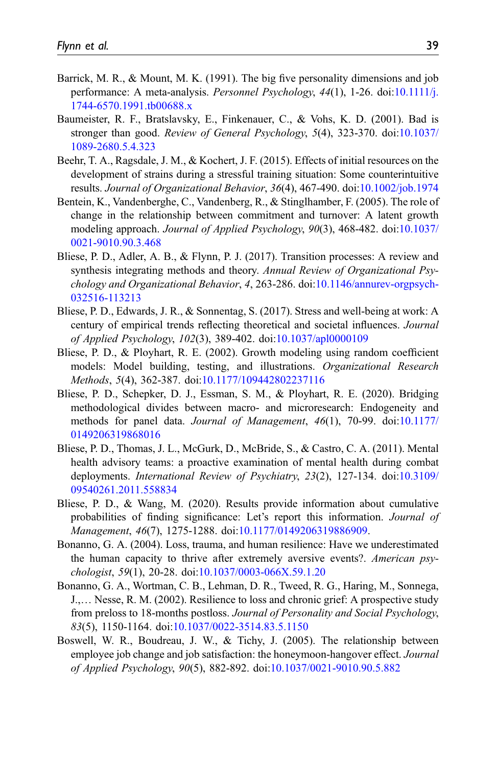- <span id="page-38-6"></span>Barrick, M. R., & Mount, M. K. (1991). The big five personality dimensions and job performance: A meta-analysis. Personnel Psychology, 44(1), 1-26. doi[:10.1111/j.](https://doi.org/10.1111/j.1744-6570.1991.tb00688.x) [1744-6570.1991.tb00688.x](https://doi.org/10.1111/j.1744-6570.1991.tb00688.x)
- <span id="page-38-9"></span>Baumeister, R. F., Bratslavsky, E., Finkenauer, C., & Vohs, K. D. (2001). Bad is stronger than good. Review of General Psychology, 5(4), 323-370. doi:[10.1037/](https://doi.org/10.1037/1089-2680.5.4.323) [1089-2680.5.4.323](https://doi.org/10.1037/1089-2680.5.4.323)
- <span id="page-38-5"></span>Beehr, T. A., Ragsdale, J. M., & Kochert, J. F. (2015). Effects of initial resources on the development of strains during a stressful training situation: Some counterintuitive results. Journal of Organizational Behavior, 36(4), 467-490. doi[:10.1002/job.1974](https://doi.org/10.1002/job.1974)
- <span id="page-38-4"></span>Bentein, K., Vandenberghe, C., Vandenberg, R., & Stinglhamber, F. (2005). The role of change in the relationship between commitment and turnover: A latent growth modeling approach. Journal of Applied Psychology, 90(3), 468-482. doi:[10.1037/](https://doi.org/10.1037/0021-9010.90.3.468) [0021-9010.90.3.468](https://doi.org/10.1037/0021-9010.90.3.468)
- <span id="page-38-2"></span>Bliese, P. D., Adler, A. B., & Flynn, P. J. (2017). Transition processes: A review and synthesis integrating methods and theory. Annual Review of Organizational Psychology and Organizational Behavior, 4, 263-286. doi[:10.1146/annurev-orgpsych-](https://doi.org/10.1146/annurev-orgpsych-032516-113213)[032516-113213](https://doi.org/10.1146/annurev-orgpsych-032516-113213)
- <span id="page-38-3"></span>Bliese, P. D., Edwards, J. R., & Sonnentag, S. (2017). Stress and well-being at work: A century of empirical trends reflecting theoretical and societal influences. Journal of Applied Psychology, 102(3), 389-402. doi:[10.1037/apl0000109](https://doi.org/10.1037/apl0000109)
- <span id="page-38-10"></span>Bliese, P. D., & Ployhart, R. E. (2002). Growth modeling using random coefficient models: Model building, testing, and illustrations. *Organizational Research* Methods, 5(4), 362-387. doi[:10.1177/109442802237116](https://doi.org/10.1177/109442802237116)
- <span id="page-38-11"></span>Bliese, P. D., Schepker, D. J., Essman, S. M., & Ployhart, R. E. (2020). Bridging methodological divides between macro- and microresearch: Endogeneity and methods for panel data. Journal of Management, 46(1), 70-99. doi[:10.1177/](https://doi.org/10.1177/0149206319868016) [0149206319868016](https://doi.org/10.1177/0149206319868016)
- <span id="page-38-7"></span>Bliese, P. D., Thomas, J. L., McGurk, D., McBride, S., & Castro, C. A. (2011). Mental health advisory teams: a proactive examination of mental health during combat deployments. International Review of Psychiatry, 23(2), 127-134. doi:[10.3109/](https://doi.org/10.3109/09540261.2011.558834) [09540261.2011.558834](https://doi.org/10.3109/09540261.2011.558834)
- <span id="page-38-12"></span>Bliese, P. D., & Wang, M. (2020). Results provide information about cumulative probabilities of finding significance: Let's report this information. Journal of Management, 46(7), 1275-1288. doi:[10.1177/0149206319886909.](https://doi.org/10.1177/0149206319886909)
- <span id="page-38-1"></span>Bonanno, G. A. (2004). Loss, trauma, and human resilience: Have we underestimated the human capacity to thrive after extremely aversive events?. American psychologist, 59(1), 20-28. doi:[10.1037/0003-066X.59.1.20](https://doi.org/10.1037/0003-066X.59.1.20)
- <span id="page-38-0"></span>Bonanno, G. A., Wortman, C. B., Lehman, D. R., Tweed, R. G., Haring, M., Sonnega, J.,… Nesse, R. M. (2002). Resilience to loss and chronic grief: A prospective study from preloss to 18-months postloss. Journal of Personality and Social Psychology, 83(5), 1150-1164. doi[:10.1037/0022-3514.83.5.1150](https://doi.org/10.1037/0022-3514.83.5.1150)
- <span id="page-38-8"></span>Boswell, W. R., Boudreau, J. W., & Tichy, J. (2005). The relationship between employee job change and job satisfaction: the honeymoon-hangover effect. Journal of Applied Psychology, 90(5), 882-892. doi[:10.1037/0021-9010.90.5.882](https://doi.org/10.1037/0021-9010.90.5.882)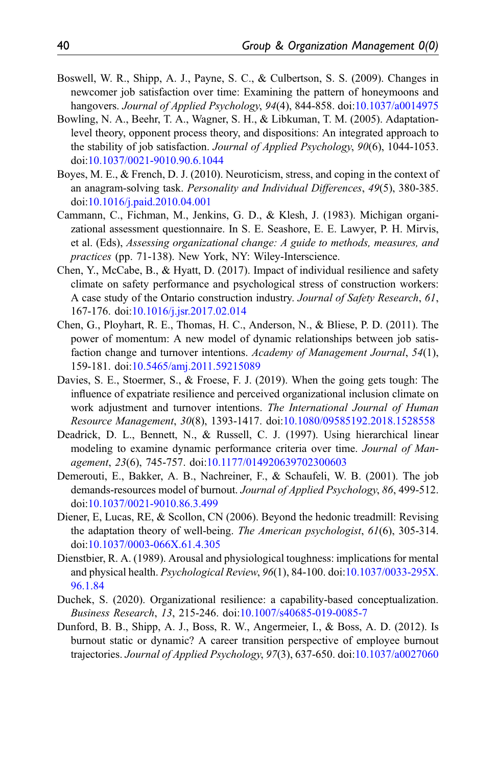- <span id="page-39-8"></span>Boswell, W. R., Shipp, A. J., Payne, S. C., & Culbertson, S. S. (2009). Changes in newcomer job satisfaction over time: Examining the pattern of honeymoons and hangovers. Journal of Applied Psychology, 94(4), 844-858. doi:[10.1037/a0014975](https://doi.org/10.1037/a0014975)
- <span id="page-39-3"></span>Bowling, N. A., Beehr, T. A., Wagner, S. H., & Libkuman, T. M. (2005). Adaptationlevel theory, opponent process theory, and dispositions: An integrated approach to the stability of job satisfaction. *Journal of Applied Psychology*, 90(6), 1044-1053. doi[:10.1037/0021-9010.90.6.1044](https://doi.org/10.1037/0021-9010.90.6.1044)
- <span id="page-39-5"></span>Boyes, M. E., & French, D. J. (2010). Neuroticism, stress, and coping in the context of an anagram-solving task. Personality and Individual Differences, 49(5), 380-385. doi[:10.1016/j.paid.2010.04.001](https://doi.org/10.1016/j.paid.2010.04.001)
- <span id="page-39-11"></span>Cammann, C., Fichman, M., Jenkins, G. D., & Klesh, J. (1983). Michigan organizational assessment questionnaire. In S. E. Seashore, E. E. Lawyer, P. H. Mirvis, et al. (Eds), Assessing organizational change: A guide to methods, measures, and practices (pp. 71-138). New York, NY: Wiley-Interscience.
- <span id="page-39-12"></span>Chen, Y., McCabe, B., & Hyatt, D. (2017). Impact of individual resilience and safety climate on safety performance and psychological stress of construction workers: A case study of the Ontario construction industry. Journal of Safety Research, 61, 167-176. doi[:10.1016/j.jsr.2017.02.014](https://doi.org/10.1016/j.jsr.2017.02.014)
- <span id="page-39-10"></span>Chen, G., Ployhart, R. E., Thomas, H. C., Anderson, N., & Bliese, P. D. (2011). The power of momentum: A new model of dynamic relationships between job satisfaction change and turnover intentions. Academy of Management Journal, 54(1), 159-181. doi[:10.5465/amj.2011.59215089](https://doi.org/10.5465/amj.2011.59215089)
- <span id="page-39-9"></span>Davies, S. E., Stoermer, S., & Froese, F. J. (2019). When the going gets tough: The influence of expatriate resilience and perceived organizational inclusion climate on work adjustment and turnover intentions. The International Journal of Human Resource Management, 30(8), 1393-1417. doi[:10.1080/09585192.2018.1528558](https://doi.org/10.1080/09585192.2018.1528558)
- <span id="page-39-6"></span>Deadrick, D. L., Bennett, N., & Russell, C. J. (1997). Using hierarchical linear modeling to examine dynamic performance criteria over time. Journal of Management, 23(6), 745-757. doi[:10.1177/014920639702300603](https://doi.org/10.1177/014920639702300603)
- <span id="page-39-1"></span>Demerouti, E., Bakker, A. B., Nachreiner, F., & Schaufeli, W. B. (2001). The job demands-resources model of burnout. Journal of Applied Psychology, 86, 499-512. doi[:10.1037/0021-9010.86.3.499](https://doi.org/10.1037/0021-9010.86.3.499)
- <span id="page-39-4"></span>Diener, E, Lucas, RE, & Scollon, CN (2006). Beyond the hedonic treadmill: Revising the adaptation theory of well-being. The American psychologist, 61(6), 305-314. doi[:10.1037/0003-066X.61.4.305](https://doi.org/10.1037/0003-066X.61.4.305)
- <span id="page-39-7"></span>Dienstbier, R. A. (1989). Arousal and physiological toughness: implications for mental and physical health. Psychological Review, 96(1), 84-100. doi:[10.1037/0033-295X.](https://doi.org/10.1037/0033-295X.96.1.84) [96.1.84](https://doi.org/10.1037/0033-295X.96.1.84)
- <span id="page-39-0"></span>Duchek, S. (2020). Organizational resilience: a capability-based conceptualization. Business Research, 13, 215-246. doi:[10.1007/s40685-019-0085-7](https://doi.org/10.1007/s40685-019-0085-7)
- <span id="page-39-2"></span>Dunford, B. B., Shipp, A. J., Boss, R. W., Angermeier, I., & Boss, A. D. (2012). Is burnout static or dynamic? A career transition perspective of employee burnout trajectories. Journal of Applied Psychology, 97(3), 637-650. doi:[10.1037/a0027060](https://doi.org/10.1037/a0027060)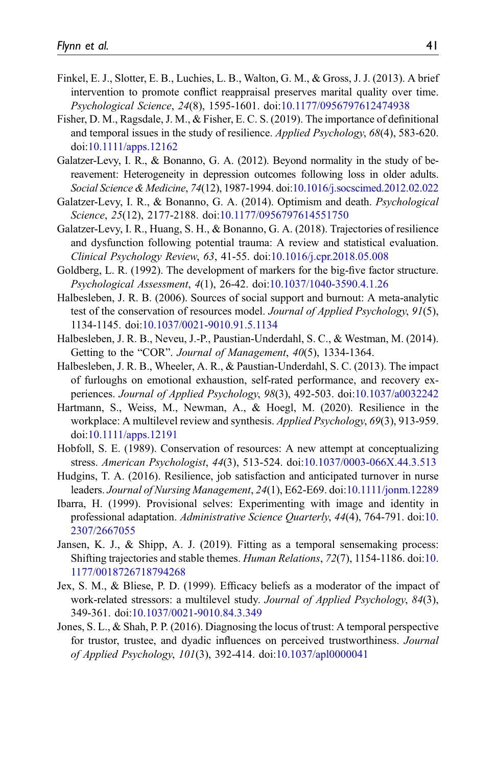- <span id="page-40-14"></span>Finkel, E. J., Slotter, E. B., Luchies, L. B., Walton, G. M., & Gross, J. J. (2013). A brief intervention to promote conflict reappraisal preserves marital quality over time. Psychological Science, 24(8), 1595-1601. doi[:10.1177/0956797612474938](https://doi.org/10.1177/0956797612474938)
- <span id="page-40-0"></span>Fisher, D. M., Ragsdale, J. M., & Fisher, E. C. S. (2019). The importance of definitional and temporal issues in the study of resilience. *Applied Psychology*, 68(4), 583-620. doi[:10.1111/apps.12162](https://doi.org/10.1111/apps.12162)
- <span id="page-40-9"></span>Galatzer-Levy, I. R., & Bonanno, G. A. (2012). Beyond normality in the study of bereavement: Heterogeneity in depression outcomes following loss in older adults. Social Science & Medicine, 74(12), 1987-1994. doi:[10.1016/j.socscimed.2012.02.022](https://doi.org/10.1016/j.socscimed.2012.02.022)
- <span id="page-40-3"></span>Galatzer-Levy, I. R., & Bonanno, G. A. (2014). Optimism and death. Psychological Science, 25(12), 2177-2188. doi:[10.1177/0956797614551750](https://doi.org/10.1177/0956797614551750)
- <span id="page-40-6"></span>Galatzer-Levy, I. R., Huang, S. H., & Bonanno, G. A. (2018). Trajectories of resilience and dysfunction following potential trauma: A review and statistical evaluation. Clinical Psychology Review, 63, 41-55. doi[:10.1016/j.cpr.2018.05.008](https://doi.org/10.1016/j.cpr.2018.05.008)
- <span id="page-40-11"></span>Goldberg, L. R. (1992). The development of markers for the big-five factor structure. Psychological Assessment, 4(1), 26-42. doi[:10.1037/1040-3590.4.1.26](https://doi.org/10.1037/1040-3590.4.1.26)
- <span id="page-40-8"></span>Halbesleben, J. R. B. (2006). Sources of social support and burnout: A meta-analytic test of the conservation of resources model. Journal of Applied Psychology, 91(5), 1134-1145. doi:[10.1037/0021-9010.91.5.1134](https://doi.org/10.1037/0021-9010.91.5.1134)
- <span id="page-40-5"></span>Halbesleben, J. R. B., Neveu, J.-P., Paustian-Underdahl, S. C., & Westman, M. (2014). Getting to the "COR". Journal of Management, 40(5), 1334-1364.
- <span id="page-40-4"></span>Halbesleben, J. R. B., Wheeler, A. R., & Paustian-Underdahl, S. C. (2013). The impact of furloughs on emotional exhaustion, self-rated performance, and recovery experiences. Journal of Applied Psychology, 98(3), 492-503. doi:[10.1037/a0032242](https://doi.org/10.1037/a0032242)
- <span id="page-40-1"></span>Hartmann, S., Weiss, M., Newman, A., & Hoegl, M. (2020). Resilience in the workplace: A multilevel review and synthesis. Applied Psychology, 69(3), 913-959. doi[:10.1111/apps.12191](https://doi.org/10.1111/apps.12191)
- <span id="page-40-7"></span>Hobfoll, S. E. (1989). Conservation of resources: A new attempt at conceptualizing stress. American Psychologist, 44(3), 513-524. doi:[10.1037/0003-066X.44.3.513](https://doi.org/10.1037/0003-066X.44.3.513)
- <span id="page-40-2"></span>Hudgins, T. A. (2016). Resilience, job satisfaction and anticipated turnover in nurse leaders. Journal of Nursing Management, 24(1), E62-E69. doi:[10.1111/jonm.12289](https://doi.org/10.1111/jonm.12289)
- <span id="page-40-15"></span>Ibarra, H. (1999). Provisional selves: Experimenting with image and identity in professional adaptation. Administrative Science Quarterly, 44(4), 764-791. doi[:10.](https://doi.org/10.2307/2667055) [2307/2667055](https://doi.org/10.2307/2667055)
- <span id="page-40-13"></span>Jansen, K. J., & Shipp, A. J. (2019). Fitting as a temporal sensemaking process: Shifting trajectories and stable themes. Human Relations, 72(7), 1154-1186. doi[:10.](https://doi.org/10.1177/0018726718794268) [1177/0018726718794268](https://doi.org/10.1177/0018726718794268)
- <span id="page-40-10"></span>Jex, S. M., & Bliese, P. D. (1999). Efficacy beliefs as a moderator of the impact of work-related stressors: a multilevel study. Journal of Applied Psychology, 84(3), 349-361. doi[:10.1037/0021-9010.84.3.349](https://doi.org/10.1037/0021-9010.84.3.349)
- <span id="page-40-12"></span>Jones, S. L., & Shah, P. P. (2016). Diagnosing the locus of trust: A temporal perspective for trustor, trustee, and dyadic influences on perceived trustworthiness. Journal of Applied Psychology, 101(3), 392-414. doi:[10.1037/apl0000041](https://doi.org/10.1037/apl0000041)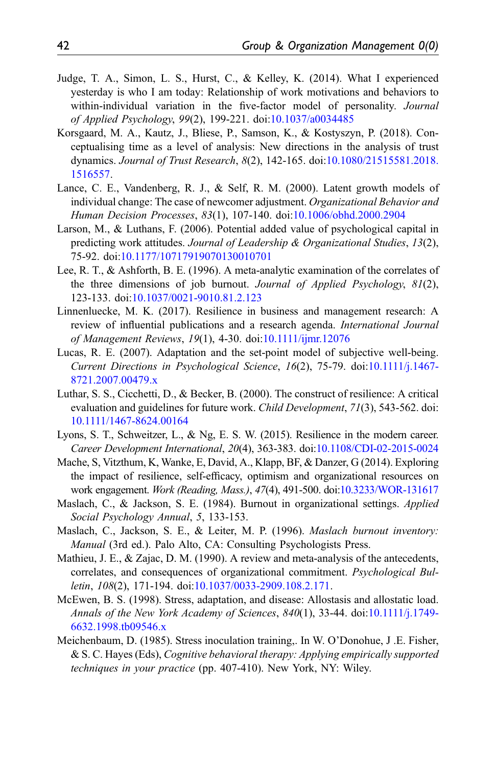- <span id="page-41-14"></span>Judge, T. A., Simon, L. S., Hurst, C., & Kelley, K. (2014). What I experienced yesterday is who I am today: Relationship of work motivations and behaviors to within-individual variation in the five-factor model of personality. Journal of Applied Psychology, 99(2), 199-221. doi[:10.1037/a0034485](https://doi.org/10.1037/a0034485)
- <span id="page-41-3"></span>Korsgaard, M. A., Kautz, J., Bliese, P., Samson, K., & Kostyszyn, P. (2018). Conceptualising time as a level of analysis: New directions in the analysis of trust dynamics. Journal of Trust Research, 8(2), 142-165. doi:[10.1080/21515581.2018.](https://doi.org/10.1080/21515581.2018.1516557) [1516557.](https://doi.org/10.1080/21515581.2018.1516557)
- <span id="page-41-8"></span>Lance, C. E., Vandenberg, R. J., & Self, R. M. (2000). Latent growth models of individual change: The case of newcomer adjustment. Organizational Behavior and Human Decision Processes, 83(1), 107-140. doi[:10.1006/obhd.2000.2904](https://doi.org/10.1006/obhd.2000.2904)
- <span id="page-41-12"></span>Larson, M., & Luthans, F. (2006). Potential added value of psychological capital in predicting work attitudes. Journal of Leadership & Organizational Studies,  $13(2)$ , 75-92. doi[:10.1177/10717919070130010701](https://doi.org/10.1177/10717919070130010701)
- <span id="page-41-6"></span>Lee, R. T., & Ashforth, B. E. (1996). A meta-analytic examination of the correlates of the three dimensions of job burnout. Journal of Applied Psychology, 81(2), 123-133. doi[:10.1037/0021-9010.81.2.123](https://doi.org/10.1037/0021-9010.81.2.123)
- <span id="page-41-0"></span>Linnenluecke, M. K. (2017). Resilience in business and management research: A review of influential publications and a research agenda. International Journal of Management Reviews, 19(1), 4-30. doi[:10.1111/ijmr.12076](https://doi.org/10.1111/ijmr.12076)
- <span id="page-41-2"></span>Lucas, R. E. (2007). Adaptation and the set-point model of subjective well-being. Current Directions in Psychological Science, 16(2), 75-79. doi[:10.1111/j.1467-](https://doi.org/10.1111/j.1467-8721.2007.00479.x) [8721.2007.00479.x](https://doi.org/10.1111/j.1467-8721.2007.00479.x)
- <span id="page-41-1"></span>Luthar, S. S., Cicchetti, D., & Becker, B. (2000). The construct of resilience: A critical evaluation and guidelines for future work. Child Development, 71(3), 543-562. doi: [10.1111/1467-8624.00164](https://doi.org/10.1111/1467-8624.00164)
- <span id="page-41-9"></span>Lyons, S. T., Schweitzer, L., & Ng, E. S. W. (2015). Resilience in the modern career. Career Development International, 20(4), 363-383. doi:[10.1108/CDI-02-2015-0024](https://doi.org/10.1108/CDI-02-2015-0024)
- <span id="page-41-13"></span>Mache, S, Vitzthum, K, Wanke, E, David, A., Klapp, BF, & Danzer, G (2014). Exploring the impact of resilience, self-efficacy, optimism and organizational resources on work engagement. Work (Reading, Mass.), 47(4), 491-500. doi:[10.3233/WOR-131617](https://doi.org/10.3233/WOR-131617)
- <span id="page-41-5"></span>Maslach, C., & Jackson, S. E. (1984). Burnout in organizational settings. Applied Social Psychology Annual, 5, 133-153.
- <span id="page-41-11"></span>Maslach, C., Jackson, S. E., & Leiter, M. P. (1996). Maslach burnout inventory: Manual (3rd ed.). Palo Alto, CA: Consulting Psychologists Press.
- <span id="page-41-7"></span>Mathieu, J. E., & Zajac, D. M. (1990). A review and meta-analysis of the antecedents, correlates, and consequences of organizational commitment. Psychological Bulletin, 108(2), 171-194. doi[:10.1037/0033-2909.108.2.171.](https://doi.org/10.1037/0033-2909.108.2.171)
- <span id="page-41-4"></span>McEwen, B. S. (1998). Stress, adaptation, and disease: Allostasis and allostatic load. Annals of the New York Academy of Sciences, 840(1), 33-44. doi[:10.1111/j.1749-](https://doi.org/10.1111/j.1749-6632.1998.tb09546.x) [6632.1998.tb09546.x](https://doi.org/10.1111/j.1749-6632.1998.tb09546.x)
- <span id="page-41-10"></span>Meichenbaum, D. (1985). Stress inoculation training,. In W. O'Donohue, J .E. Fisher, & S. C. Hayes (Eds), Cognitive behavioral therapy: Applying empirically supported techniques in your practice (pp. 407-410). New York, NY: Wiley.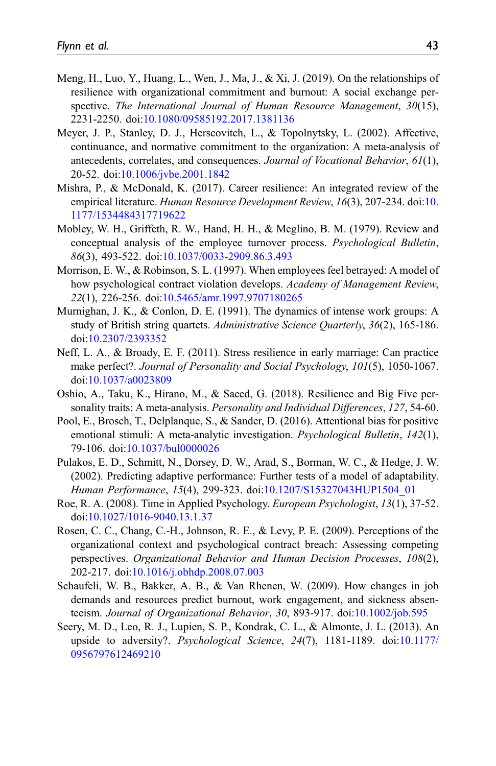- <span id="page-42-1"></span>Meng, H., Luo, Y., Huang, L., Wen, J., Ma, J., & Xi, J. (2019). On the relationships of resilience with organizational commitment and burnout: A social exchange perspective. The International Journal of Human Resource Management, 30(15), 2231-2250. doi[:10.1080/09585192.2017.1381136](https://doi.org/10.1080/09585192.2017.1381136)
- <span id="page-42-3"></span>Meyer, J. P., Stanley, D. J., Herscovitch, L., & Topolnytsky, L. (2002). Affective, continuance, and normative commitment to the organization: A meta-analysis of antecedents, correlates, and consequences. Journal of Vocational Behavior, 61(1), 20-52. doi[:10.1006/jvbe.2001.1842](https://doi.org/10.1006/jvbe.2001.1842)
- <span id="page-42-6"></span>Mishra, P., & McDonald, K. (2017). Career resilience: An integrated review of the empirical literature. Human Resource Development Review, 16(3), 207-234. doi[:10.](https://doi.org/10.1177/1534484317719622) [1177/1534484317719622](https://doi.org/10.1177/1534484317719622)
- <span id="page-42-9"></span>Mobley, W. H., Griffeth, R. W., Hand, H. H., & Meglino, B. M. (1979). Review and conceptual analysis of the employee turnover process. Psychological Bulletin, 86(3), 493-522. doi:[10.1037/0033-2909.86.3.493](https://doi.org/10.1037/0033-2909.86.3.493)
- <span id="page-42-4"></span>Morrison, E. W., & Robinson, S. L. (1997). When employees feel betrayed: A model of how psychological contract violation develops. Academy of Management Review, 22(1), 226-256. doi:[10.5465/amr.1997.9707180265](https://doi.org/10.5465/amr.1997.9707180265)
- <span id="page-42-10"></span>Murnighan, J. K., & Conlon, D. E. (1991). The dynamics of intense work groups: A study of British string quartets. Administrative Science Quarterly, 36(2), 165-186. doi[:10.2307/2393352](https://doi.org/10.2307/2393352)
- <span id="page-42-7"></span>Neff, L. A., & Broady, E. F. (2011). Stress resilience in early marriage: Can practice make perfect?. Journal of Personality and Social Psychology, 101(5), 1050-1067. doi[:10.1037/a0023809](https://doi.org/10.1037/a0023809)
- <span id="page-42-12"></span>Oshio, A., Taku, K., Hirano, M., & Saeed, G. (2018). Resilience and Big Five personality traits: A meta-analysis. Personality and Individual Differences, 127, 54-60.
- <span id="page-42-13"></span>Pool, E., Brosch, T., Delplanque, S., & Sander, D. (2016). Attentional bias for positive emotional stimuli: A meta-analytic investigation. Psychological Bulletin, 142(1), 79-106. doi:[10.1037/bul0000026](https://doi.org/10.1037/bul0000026)
- <span id="page-42-11"></span>Pulakos, E. D., Schmitt, N., Dorsey, D. W., Arad, S., Borman, W. C., & Hedge, J. W. (2002). Predicting adaptive performance: Further tests of a model of adaptability. Human Performance, 15(4), 299-323. doi:[10.1207/S15327043HUP1504\\_01](https://doi.org/10.1207/S15327043HUP1504_01)
- <span id="page-42-0"></span>Roe, R. A. (2008). Time in Applied Psychology. European Psychologist, 13(1), 37-52. doi[:10.1027/1016-9040.13.1.37](https://doi.org/10.1027/1016-9040.13.1.37)
- <span id="page-42-5"></span>Rosen, C. C., Chang, C.-H., Johnson, R. E., & Levy, P. E. (2009). Perceptions of the organizational context and psychological contract breach: Assessing competing perspectives. Organizational Behavior and Human Decision Processes, 108(2), 202-217. doi[:10.1016/j.obhdp.2008.07.003](https://doi.org/10.1016/j.obhdp.2008.07.003)
- <span id="page-42-2"></span>Schaufeli, W. B., Bakker, A. B., & Van Rhenen, W. (2009). How changes in job demands and resources predict burnout, work engagement, and sickness absenteeism. Journal of Organizational Behavior, 30, 893-917. doi[:10.1002/job.595](https://doi.org/10.1002/job.595)
- <span id="page-42-8"></span>Seery, M. D., Leo, R. J., Lupien, S. P., Kondrak, C. L., & Almonte, J. L. (2013). An upside to adversity?. Psychological Science, 24(7), 1181-1189. doi[:10.1177/](https://doi.org/10.1177/0956797612469210) [0956797612469210](https://doi.org/10.1177/0956797612469210)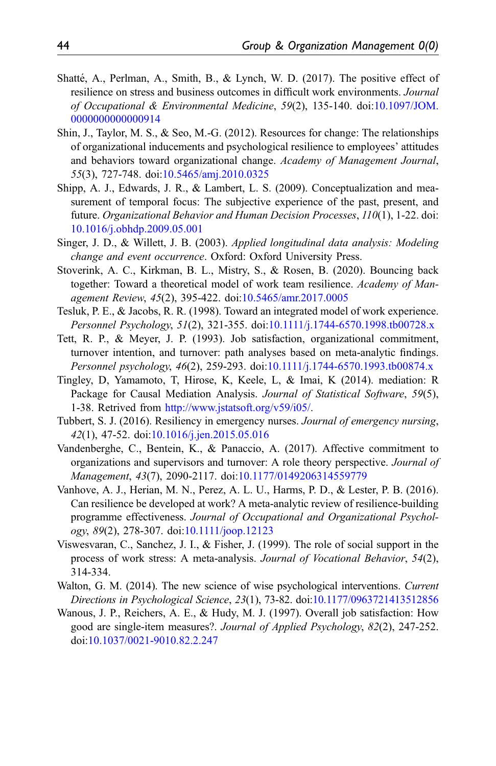- <span id="page-43-12"></span>Shatté, A., Perlman, A., Smith, B., & Lynch, W. D.  $(2017)$ . The positive effect of resilience on stress and business outcomes in difficult work environments. Journal of Occupational & Environmental Medicine, 59(2), 135-140. doi:[10.1097/JOM.](https://doi.org/10.1097/JOM.0000000000000914) [0000000000000914](https://doi.org/10.1097/JOM.0000000000000914)
- <span id="page-43-3"></span>Shin, J., Taylor, M. S., & Seo, M.-G. (2012). Resources for change: The relationships of organizational inducements and psychological resilience to employees' attitudes and behaviors toward organizational change. Academy of Management Journal, 55(3), 727-748. doi:[10.5465/amj.2010.0325](https://doi.org/10.5465/amj.2010.0325)
- <span id="page-43-6"></span>Shipp, A. J., Edwards, J. R., & Lambert, L. S. (2009). Conceptualization and measurement of temporal focus: The subjective experience of the past, present, and future. Organizational Behavior and Human Decision Processes, 110(1), 1-22. doi: [10.1016/j.obhdp.2009.05.001](https://doi.org/10.1016/j.obhdp.2009.05.001)
- <span id="page-43-10"></span>Singer, J. D., & Willett, J. B. (2003). Applied longitudinal data analysis: Modeling change and event occurrence. Oxford: Oxford University Press.
- <span id="page-43-0"></span>Stoverink, A. C., Kirkman, B. L., Mistry, S., & Rosen, B. (2020). Bouncing back together: Toward a theoretical model of work team resilience. Academy of Management Review, 45(2), 395-422. doi[:10.5465/amr.2017.0005](https://doi.org/10.5465/amr.2017.0005)
- <span id="page-43-7"></span>Tesluk, P. E., & Jacobs, R. R. (1998). Toward an integrated model of work experience. Personnel Psychology, 51(2), 321-355. doi:[10.1111/j.1744-6570.1998.tb00728.x](https://doi.org/10.1111/j.1744-6570.1998.tb00728.x)
- <span id="page-43-8"></span>Tett, R. P., & Meyer, J. P. (1993). Job satisfaction, organizational commitment, turnover intention, and turnover: path analyses based on meta-analytic findings. Personnel psychology, 46(2), 259-293. doi:[10.1111/j.1744-6570.1993.tb00874.x](https://doi.org/10.1111/j.1744-6570.1993.tb00874.x)
- <span id="page-43-11"></span>Tingley, D, Yamamoto, T, Hirose, K, Keele, L, & Imai, K (2014). mediation: R Package for Causal Mediation Analysis. Journal of Statistical Software, 59(5), 1-38. Retrived from [http://www.jstatsoft.org/v59/i05/.](http://www.jstatsoft.org/v59/i05/)
- <span id="page-43-2"></span>Tubbert, S. J. (2016). Resiliency in emergency nurses. Journal of emergency nursing, 42(1), 47-52. doi:[10.1016/j.jen.2015.05.016](https://doi.org/10.1016/j.jen.2015.05.016)
- <span id="page-43-5"></span>Vandenberghe, C., Bentein, K., & Panaccio, A. (2017). Affective commitment to organizations and supervisors and turnover: A role theory perspective. Journal of Management, 43(7), 2090-2117. doi[:10.1177/0149206314559779](https://doi.org/10.1177/0149206314559779)
- <span id="page-43-1"></span>Vanhove, A. J., Herian, M. N., Perez, A. L. U., Harms, P. D., & Lester, P. B. (2016). Can resilience be developed at work? A meta-analytic review of resilience-building programme effectiveness. Journal of Occupational and Organizational Psychology, 89(2), 278-307. doi[:10.1111/joop.12123](https://doi.org/10.1111/joop.12123)
- <span id="page-43-4"></span>Viswesvaran, C., Sanchez, J. I., & Fisher, J. (1999). The role of social support in the process of work stress: A meta-analysis. Journal of Vocational Behavior, 54(2), 314-334.
- <span id="page-43-13"></span>Walton, G. M. (2014). The new science of wise psychological interventions. Current Directions in Psychological Science, 23(1), 73-82. doi:[10.1177/0963721413512856](https://doi.org/10.1177/0963721413512856)
- <span id="page-43-9"></span>Wanous, J. P., Reichers, A. E., & Hudy, M. J. (1997). Overall job satisfaction: How good are single-item measures?. Journal of Applied Psychology, 82(2), 247-252. doi[:10.1037/0021-9010.82.2.247](https://doi.org/10.1037/0021-9010.82.2.247)